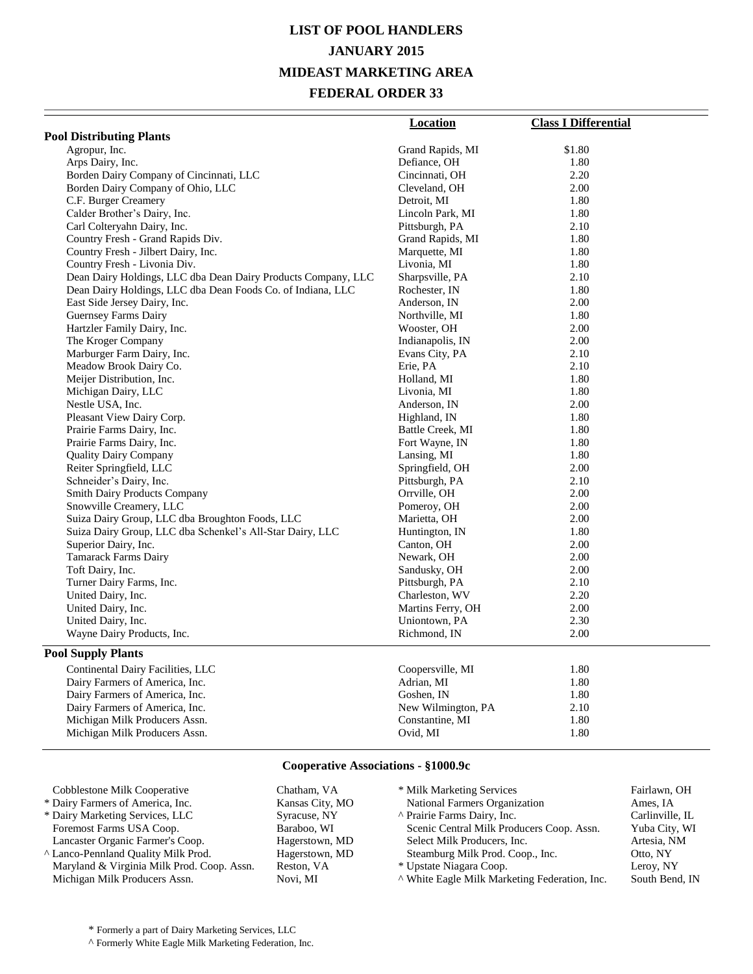# **LIST OF POOL HANDLERS JANUARY 2015 MIDEAST MARKETING AREA FEDERAL ORDER 33**

|                                                               | <b>Location</b>    | <b>Class I Differential</b> |
|---------------------------------------------------------------|--------------------|-----------------------------|
| <b>Pool Distributing Plants</b>                               |                    |                             |
| Agropur, Inc.                                                 | Grand Rapids, MI   | \$1.80                      |
| Arps Dairy, Inc.                                              | Defiance, OH       | 1.80                        |
| Borden Dairy Company of Cincinnati, LLC                       | Cincinnati, OH     | 2.20                        |
| Borden Dairy Company of Ohio, LLC                             | Cleveland, OH      | 2.00                        |
| C.F. Burger Creamery                                          | Detroit, MI        | 1.80                        |
| Calder Brother's Dairy, Inc.                                  | Lincoln Park, MI   | 1.80                        |
| Carl Colteryahn Dairy, Inc.                                   | Pittsburgh, PA     | 2.10                        |
| Country Fresh - Grand Rapids Div.                             | Grand Rapids, MI   | 1.80                        |
| Country Fresh - Jilbert Dairy, Inc.                           | Marquette, MI      | 1.80                        |
| Country Fresh - Livonia Div.                                  | Livonia, MI        | 1.80                        |
| Dean Dairy Holdings, LLC dba Dean Dairy Products Company, LLC | Sharpsville, PA    | 2.10                        |
| Dean Dairy Holdings, LLC dba Dean Foods Co. of Indiana, LLC   | Rochester, IN      | 1.80                        |
| East Side Jersey Dairy, Inc.                                  | Anderson, IN       | 2.00                        |
| Guernsey Farms Dairy                                          | Northville, MI     | 1.80                        |
| Hartzler Family Dairy, Inc.                                   | Wooster, OH        | 2.00                        |
| The Kroger Company                                            | Indianapolis, IN   | 2.00                        |
| Marburger Farm Dairy, Inc.                                    | Evans City, PA     | 2.10                        |
| Meadow Brook Dairy Co.                                        | Erie, PA           | 2.10                        |
| Meijer Distribution, Inc.                                     | Holland, MI        | 1.80                        |
| Michigan Dairy, LLC                                           | Livonia, MI        | 1.80                        |
| Nestle USA, Inc.                                              | Anderson, IN       | 2.00                        |
| Pleasant View Dairy Corp.                                     | Highland, IN       | 1.80                        |
| Prairie Farms Dairy, Inc.                                     | Battle Creek, MI   | 1.80                        |
| Prairie Farms Dairy, Inc.                                     | Fort Wayne, IN     | 1.80                        |
| <b>Quality Dairy Company</b>                                  | Lansing, MI        | 1.80                        |
| Reiter Springfield, LLC                                       | Springfield, OH    | 2.00                        |
| Schneider's Dairy, Inc.                                       | Pittsburgh, PA     | 2.10                        |
| <b>Smith Dairy Products Company</b>                           | Orrville, OH       | 2.00                        |
| Snowville Creamery, LLC                                       | Pomeroy, OH        | 2.00                        |
| Suiza Dairy Group, LLC dba Broughton Foods, LLC               | Marietta, OH       | 2.00                        |
| Suiza Dairy Group, LLC dba Schenkel's All-Star Dairy, LLC     | Huntington, IN     | 1.80                        |
| Superior Dairy, Inc.                                          | Canton, OH         | 2.00                        |
| <b>Tamarack Farms Dairy</b>                                   | Newark, OH         | 2.00                        |
| Toft Dairy, Inc.                                              | Sandusky, OH       | 2.00                        |
| Turner Dairy Farms, Inc.                                      | Pittsburgh, PA     | 2.10                        |
| United Dairy, Inc.                                            | Charleston, WV     | 2.20                        |
| United Dairy, Inc.                                            | Martins Ferry, OH  | 2.00                        |
| United Dairy, Inc.                                            | Uniontown, PA      | 2.30                        |
| Wayne Dairy Products, Inc.                                    | Richmond, IN       | 2.00                        |
| <b>Pool Supply Plants</b>                                     |                    |                             |
| Continental Dairy Facilities, LLC                             | Coopersville, MI   | 1.80                        |
| Dairy Farmers of America, Inc.                                | Adrian, MI         | 1.80                        |
| Dairy Farmers of America, Inc.                                | Goshen, IN         | 1.80                        |
| Dairy Farmers of America, Inc.                                | New Wilmington, PA | 2.10                        |
| Michigan Milk Producers Assn.                                 | Constantine, MI    | 1.80                        |
| Michigan Milk Producers Assn.                                 | Ovid, MI           | 1.80                        |

### **Cooperative Associations - §1000.9c**

| Cobblestone Milk Cooperative                   | Chatham, VA     | * Milk Marketing Services                     | Fairlawn, OH    |
|------------------------------------------------|-----------------|-----------------------------------------------|-----------------|
| * Dairy Farmers of America, Inc.               | Kansas City, MO | National Farmers Organization                 | Ames. IA        |
| * Dairy Marketing Services, LLC                | Syracuse, NY    | A Prairie Farms Dairy, Inc.                   | Carlinville, IL |
| Foremost Farms USA Coop.                       | Baraboo, WI     | Scenic Central Milk Producers Coop. Assn.     | Yuba City, WI   |
| Lancaster Organic Farmer's Coop.               | Hagerstown, MD  | Select Milk Producers, Inc.                   | Artesia, NM     |
| <sup>^</sup> Lanco-Pennland Quality Milk Prod. | Hagerstown, MD  | Steamburg Milk Prod. Coop., Inc.              | Otto, NY        |
| Maryland & Virginia Milk Prod. Coop. Assn.     | Reston, VA      | * Upstate Niagara Coop.                       | Leroy, NY       |
| Michigan Milk Producers Assn.                  | Novi, MI        | A White Eagle Milk Marketing Federation, Inc. | South Bend, IN  |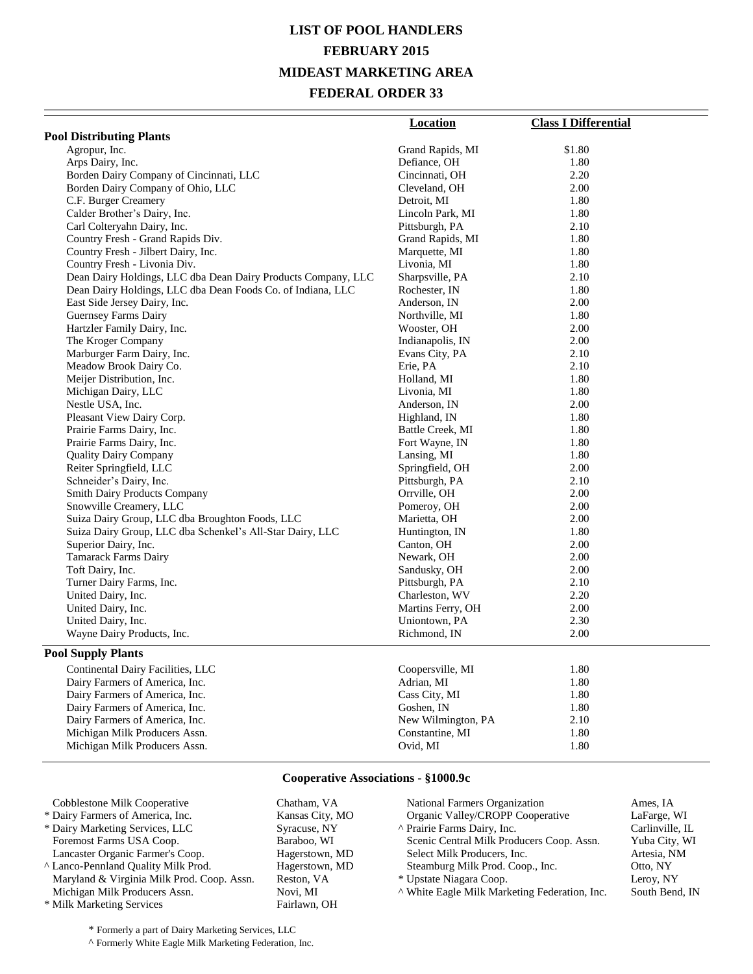# **LIST OF POOL HANDLERS FEBRUARY 2015 MIDEAST MARKETING AREA FEDERAL ORDER 33**

|                                                               | <b>Location</b>    | <b>Class I Differential</b> |
|---------------------------------------------------------------|--------------------|-----------------------------|
| <b>Pool Distributing Plants</b>                               |                    |                             |
|                                                               |                    | \$1.80                      |
| Agropur, Inc.                                                 | Grand Rapids, MI   | 1.80                        |
| Arps Dairy, Inc.                                              | Defiance, OH       | 2.20                        |
| Borden Dairy Company of Cincinnati, LLC                       | Cincinnati, OH     |                             |
| Borden Dairy Company of Ohio, LLC                             | Cleveland, OH      | 2.00<br>1.80                |
| C.F. Burger Creamery<br>Calder Brother's Dairy, Inc.          | Detroit, MI        | 1.80                        |
|                                                               | Lincoln Park, MI   | 2.10                        |
| Carl Colteryahn Dairy, Inc.                                   | Pittsburgh, PA     |                             |
| Country Fresh - Grand Rapids Div.                             | Grand Rapids, MI   | 1.80                        |
| Country Fresh - Jilbert Dairy, Inc.                           | Marquette, MI      | 1.80                        |
| Country Fresh - Livonia Div.                                  | Livonia, MI        | 1.80                        |
| Dean Dairy Holdings, LLC dba Dean Dairy Products Company, LLC | Sharpsville, PA    | 2.10                        |
| Dean Dairy Holdings, LLC dba Dean Foods Co. of Indiana, LLC   | Rochester, IN      | 1.80                        |
| East Side Jersey Dairy, Inc.                                  | Anderson, IN       | 2.00                        |
| Guernsey Farms Dairy                                          | Northville, MI     | 1.80                        |
| Hartzler Family Dairy, Inc.                                   | Wooster, OH        | 2.00                        |
| The Kroger Company                                            | Indianapolis, IN   | 2.00                        |
| Marburger Farm Dairy, Inc.                                    | Evans City, PA     | 2.10                        |
| Meadow Brook Dairy Co.                                        | Erie, PA           | 2.10                        |
| Meijer Distribution, Inc.                                     | Holland, MI        | 1.80                        |
| Michigan Dairy, LLC                                           | Livonia, MI        | 1.80                        |
| Nestle USA, Inc.                                              | Anderson, IN       | 2.00                        |
| Pleasant View Dairy Corp.                                     | Highland, IN       | 1.80                        |
| Prairie Farms Dairy, Inc.                                     | Battle Creek, MI   | 1.80                        |
| Prairie Farms Dairy, Inc.                                     | Fort Wayne, IN     | 1.80                        |
| <b>Quality Dairy Company</b>                                  | Lansing, MI        | 1.80                        |
| Reiter Springfield, LLC                                       | Springfield, OH    | 2.00                        |
| Schneider's Dairy, Inc.                                       | Pittsburgh, PA     | 2.10                        |
| <b>Smith Dairy Products Company</b>                           | Orrville, OH       | 2.00                        |
| Snowville Creamery, LLC                                       | Pomeroy, OH        | 2.00                        |
| Suiza Dairy Group, LLC dba Broughton Foods, LLC               | Marietta, OH       | 2.00                        |
| Suiza Dairy Group, LLC dba Schenkel's All-Star Dairy, LLC     | Huntington, IN     | 1.80                        |
| Superior Dairy, Inc.                                          | Canton, OH         | 2.00                        |
| Tamarack Farms Dairy                                          | Newark, OH         | 2.00                        |
| Toft Dairy, Inc.                                              | Sandusky, OH       | 2.00                        |
| Turner Dairy Farms, Inc.                                      | Pittsburgh, PA     | 2.10                        |
| United Dairy, Inc.                                            | Charleston, WV     | 2.20                        |
| United Dairy, Inc.                                            | Martins Ferry, OH  | 2.00                        |
| United Dairy, Inc.                                            | Uniontown, PA      | 2.30                        |
| Wayne Dairy Products, Inc.                                    | Richmond, IN       | 2.00                        |
| <b>Pool Supply Plants</b>                                     |                    |                             |
| Continental Dairy Facilities, LLC                             | Coopersville, MI   | 1.80                        |
| Dairy Farmers of America, Inc.                                | Adrian, MI         | 1.80                        |
| Dairy Farmers of America, Inc.                                | Cass City, MI      | 1.80                        |
| Dairy Farmers of America, Inc.                                | Goshen, IN         | 1.80                        |
| Dairy Farmers of America, Inc.                                | New Wilmington, PA | 2.10                        |
| Michigan Milk Producers Assn.                                 | Constantine, MI    | 1.80                        |
| Michigan Milk Producers Assn.                                 | Ovid, MI           | 1.80                        |

#### **Cooperative Associations - §1000.9c**

| Cobblestone Milk Cooperative                               | Chatham, VA              | National Farmers Organization                 | Ames. IA        |
|------------------------------------------------------------|--------------------------|-----------------------------------------------|-----------------|
| * Dairy Farmers of America, Inc.                           | Kansas City, MO          | Organic Valley/CROPP Cooperative              | LaFarge, WI     |
| * Dairy Marketing Services, LLC                            | Syracuse, NY             | ^ Prairie Farms Dairy, Inc.                   | Carlinville, IL |
| Foremost Farms USA Coop.                                   | Baraboo, WI              | Scenic Central Milk Producers Coop. Assn.     | Yuba City, WI   |
| Lancaster Organic Farmer's Coop.                           | Hagerstown, MD           | Select Milk Producers, Inc.                   | Artesia, NM     |
| A Lanco-Pennland Quality Milk Prod.                        | Hagerstown, MD           | Steamburg Milk Prod. Coop., Inc.              | Otto, NY        |
| Maryland & Virginia Milk Prod. Coop. Assn.                 | Reston, VA               | * Upstate Niagara Coop.                       | Leroy, NY       |
| Michigan Milk Producers Assn.<br>* Milk Marketing Services | Novi. MI<br>Fairlawn, OH | ^ White Eagle Milk Marketing Federation, Inc. | South Bend, IN  |

\* Formerly a part of Dairy Marketing Services, LLC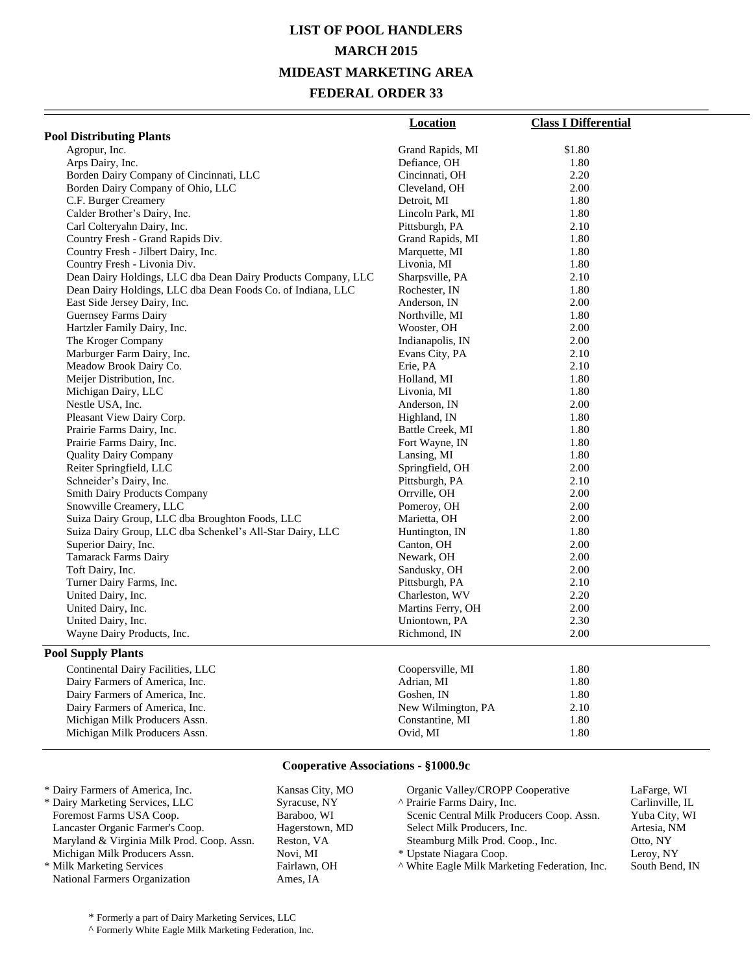# **LIST OF POOL HANDLERS MARCH 2015 MIDEAST MARKETING AREA FEDERAL ORDER 33**

|                                                               | <b>Location</b>    | <b>Class I Differential</b> |
|---------------------------------------------------------------|--------------------|-----------------------------|
| <b>Pool Distributing Plants</b>                               |                    |                             |
| Agropur, Inc.                                                 | Grand Rapids, MI   | \$1.80                      |
| Arps Dairy, Inc.                                              | Defiance, OH       | 1.80                        |
| Borden Dairy Company of Cincinnati, LLC                       | Cincinnati, OH     | 2.20                        |
| Borden Dairy Company of Ohio, LLC                             | Cleveland, OH      | 2.00                        |
| C.F. Burger Creamery                                          | Detroit, MI        | 1.80                        |
| Calder Brother's Dairy, Inc.                                  | Lincoln Park, MI   | 1.80                        |
| Carl Colteryahn Dairy, Inc.                                   | Pittsburgh, PA     | 2.10                        |
| Country Fresh - Grand Rapids Div.                             | Grand Rapids, MI   | 1.80                        |
| Country Fresh - Jilbert Dairy, Inc.                           | Marquette, MI      | 1.80                        |
| Country Fresh - Livonia Div.                                  | Livonia, MI        | 1.80                        |
| Dean Dairy Holdings, LLC dba Dean Dairy Products Company, LLC | Sharpsville, PA    | 2.10                        |
| Dean Dairy Holdings, LLC dba Dean Foods Co. of Indiana, LLC   | Rochester, IN      | 1.80                        |
| East Side Jersey Dairy, Inc.                                  | Anderson, IN       | 2.00                        |
| Guernsey Farms Dairy                                          | Northville, MI     | 1.80                        |
| Hartzler Family Dairy, Inc.                                   | Wooster, OH        | 2.00                        |
| The Kroger Company                                            | Indianapolis, IN   | 2.00                        |
| Marburger Farm Dairy, Inc.                                    | Evans City, PA     | 2.10                        |
| Meadow Brook Dairy Co.                                        | Erie, PA           | 2.10                        |
| Meijer Distribution, Inc.                                     | Holland, MI        | 1.80                        |
| Michigan Dairy, LLC                                           | Livonia, MI        | 1.80                        |
| Nestle USA, Inc.                                              | Anderson, IN       | 2.00                        |
| Pleasant View Dairy Corp.                                     | Highland, IN       | 1.80                        |
| Prairie Farms Dairy, Inc.                                     | Battle Creek, MI   | 1.80                        |
| Prairie Farms Dairy, Inc.                                     | Fort Wayne, IN     | 1.80                        |
| <b>Quality Dairy Company</b>                                  | Lansing, MI        | 1.80                        |
| Reiter Springfield, LLC                                       | Springfield, OH    | 2.00                        |
| Schneider's Dairy, Inc.                                       | Pittsburgh, PA     | 2.10                        |
| <b>Smith Dairy Products Company</b>                           | Orrville, OH       | 2.00                        |
| Snowville Creamery, LLC                                       | Pomeroy, OH        | 2.00                        |
| Suiza Dairy Group, LLC dba Broughton Foods, LLC               | Marietta, OH       | 2.00                        |
| Suiza Dairy Group, LLC dba Schenkel's All-Star Dairy, LLC     | Huntington, IN     | 1.80                        |
| Superior Dairy, Inc.                                          | Canton, OH         | 2.00                        |
| <b>Tamarack Farms Dairy</b>                                   | Newark, OH         | 2.00                        |
| Toft Dairy, Inc.                                              | Sandusky, OH       | 2.00                        |
| Turner Dairy Farms, Inc.                                      | Pittsburgh, PA     | 2.10                        |
| United Dairy, Inc.                                            | Charleston, WV     | 2.20                        |
| United Dairy, Inc.                                            | Martins Ferry, OH  | 2.00                        |
| United Dairy, Inc.                                            | Uniontown, PA      | 2.30                        |
| Wayne Dairy Products, Inc.                                    | Richmond, IN       | 2.00                        |
| <b>Pool Supply Plants</b>                                     |                    |                             |
|                                                               |                    |                             |
| Continental Dairy Facilities, LLC                             | Coopersville, MI   | 1.80                        |
| Dairy Farmers of America, Inc.                                | Adrian, MI         | 1.80                        |
| Dairy Farmers of America, Inc.                                | Goshen, IN         | 1.80                        |
| Dairy Farmers of America, Inc.                                | New Wilmington, PA | 2.10                        |
| Michigan Milk Producers Assn.                                 | Constantine, MI    | 1.80<br>1.80                |
| Michigan Milk Producers Assn.                                 | Ovid, MI           |                             |

### **Cooperative Associations - §1000.9c**

\* Formerly a part of Dairy Marketing Services, LLC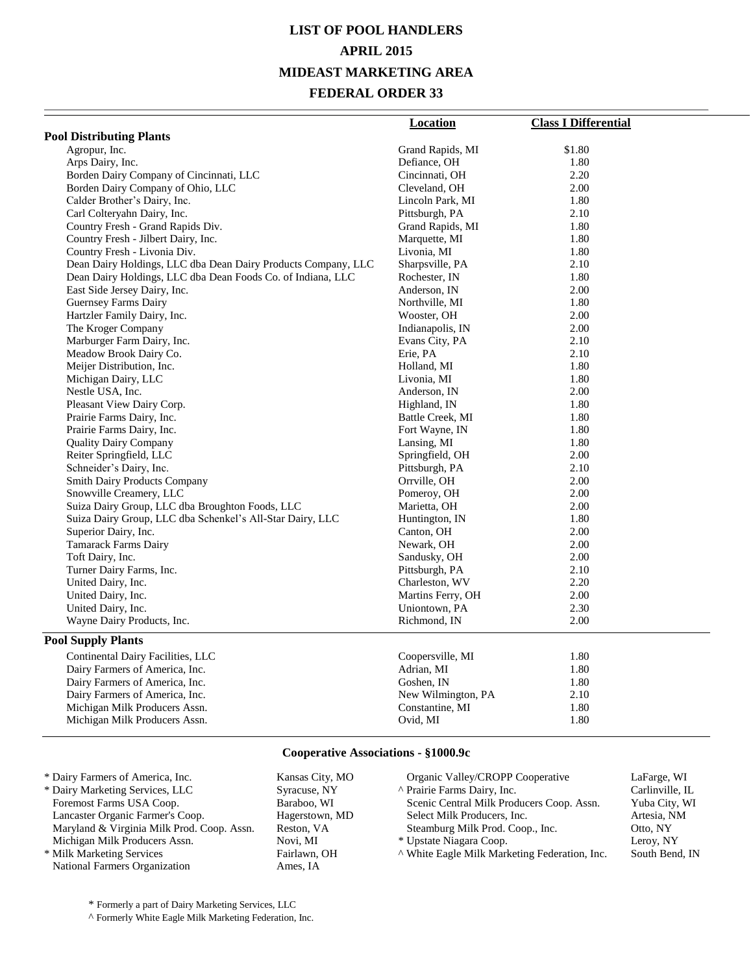# **LIST OF POOL HANDLERS APRIL 2015 MIDEAST MARKETING AREA FEDERAL ORDER 33**

|                                                               | Location           | <b>Class I Differential</b> |
|---------------------------------------------------------------|--------------------|-----------------------------|
| <b>Pool Distributing Plants</b>                               |                    |                             |
| Agropur, Inc.                                                 | Grand Rapids, MI   | \$1.80                      |
| Arps Dairy, Inc.                                              | Defiance, OH       | 1.80                        |
| Borden Dairy Company of Cincinnati, LLC                       | Cincinnati, OH     | 2.20                        |
| Borden Dairy Company of Ohio, LLC                             | Cleveland, OH      | 2.00                        |
| Calder Brother's Dairy, Inc.                                  | Lincoln Park, MI   | 1.80                        |
| Carl Colteryahn Dairy, Inc.                                   | Pittsburgh, PA     | 2.10                        |
| Country Fresh - Grand Rapids Div.                             | Grand Rapids, MI   | 1.80                        |
| Country Fresh - Jilbert Dairy, Inc.                           | Marquette, MI      | 1.80                        |
| Country Fresh - Livonia Div.                                  | Livonia, MI        | 1.80                        |
| Dean Dairy Holdings, LLC dba Dean Dairy Products Company, LLC | Sharpsville, PA    | 2.10                        |
| Dean Dairy Holdings, LLC dba Dean Foods Co. of Indiana, LLC   | Rochester, IN      | 1.80                        |
| East Side Jersey Dairy, Inc.                                  | Anderson, IN       | 2.00                        |
| Guernsey Farms Dairy                                          | Northville, MI     | 1.80                        |
| Hartzler Family Dairy, Inc.                                   | Wooster, OH        | 2.00                        |
| The Kroger Company                                            | Indianapolis, IN   | 2.00                        |
| Marburger Farm Dairy, Inc.                                    | Evans City, PA     | 2.10                        |
| Meadow Brook Dairy Co.                                        | Erie, PA           | 2.10                        |
| Meijer Distribution, Inc.                                     | Holland, MI        | 1.80                        |
| Michigan Dairy, LLC                                           | Livonia, MI        | 1.80                        |
| Nestle USA, Inc.                                              | Anderson, IN       | 2.00                        |
| Pleasant View Dairy Corp.                                     | Highland, IN       | 1.80                        |
| Prairie Farms Dairy, Inc.                                     | Battle Creek, MI   | 1.80                        |
| Prairie Farms Dairy, Inc.                                     | Fort Wayne, IN     | 1.80                        |
| <b>Quality Dairy Company</b>                                  | Lansing, MI        | 1.80                        |
| Reiter Springfield, LLC                                       | Springfield, OH    | 2.00                        |
| Schneider's Dairy, Inc.                                       | Pittsburgh, PA     | 2.10                        |
| <b>Smith Dairy Products Company</b>                           | Orrville, OH       | 2.00                        |
| Snowville Creamery, LLC                                       | Pomeroy, OH        | 2.00                        |
| Suiza Dairy Group, LLC dba Broughton Foods, LLC               | Marietta, OH       | 2.00                        |
| Suiza Dairy Group, LLC dba Schenkel's All-Star Dairy, LLC     | Huntington, IN     | 1.80                        |
| Superior Dairy, Inc.                                          | Canton, OH         | 2.00                        |
| <b>Tamarack Farms Dairy</b>                                   | Newark, OH         | 2.00                        |
| Toft Dairy, Inc.                                              | Sandusky, OH       | 2.00                        |
| Turner Dairy Farms, Inc.                                      | Pittsburgh, PA     | 2.10                        |
| United Dairy, Inc.                                            | Charleston, WV     | 2.20                        |
| United Dairy, Inc.                                            | Martins Ferry, OH  | 2.00                        |
| United Dairy, Inc.                                            | Uniontown, PA      | 2.30                        |
| Wayne Dairy Products, Inc.                                    | Richmond, IN       | 2.00                        |
| <b>Pool Supply Plants</b>                                     |                    |                             |
| Continental Dairy Facilities, LLC                             | Coopersville, MI   | 1.80                        |
| Dairy Farmers of America, Inc.                                | Adrian, MI         | 1.80                        |
| Dairy Farmers of America, Inc.                                | Goshen, IN         | 1.80                        |
| Dairy Farmers of America, Inc.                                | New Wilmington, PA | 2.10                        |
| Michigan Milk Producers Assn.                                 | Constantine, MI    | 1.80                        |
| Michigan Milk Producers Assn.                                 | Ovid, MI           | 1.80                        |

### **Cooperative Associations - §1000.9c**

| * Dairy Farmers of America, Inc.           | Kansas City, MO | Organic Valley/CROPP Cooperative              | LaFarge, WI     |
|--------------------------------------------|-----------------|-----------------------------------------------|-----------------|
| * Dairy Marketing Services, LLC            | Syracuse, NY    | A Prairie Farms Dairy, Inc.                   | Carlinville, IL |
| Foremost Farms USA Coop.                   | Baraboo, WI     | Scenic Central Milk Producers Coop. Assn.     | Yuba City, WI   |
| Lancaster Organic Farmer's Coop.           | Hagerstown, MD  | Select Milk Producers, Inc.                   | Artesia, NM     |
| Maryland & Virginia Milk Prod. Coop. Assn. | Reston, VA      | Steamburg Milk Prod. Coop., Inc.              | Otto, NY        |
| Michigan Milk Producers Assn.              | Novi. MI        | * Upstate Niagara Coop.                       | Leroy, NY       |
| * Milk Marketing Services                  | Fairlawn, OH    | ^ White Eagle Milk Marketing Federation, Inc. | South Bend, IN  |
| National Farmers Organization              | Ames. IA        |                                               |                 |

\* Formerly a part of Dairy Marketing Services, LLC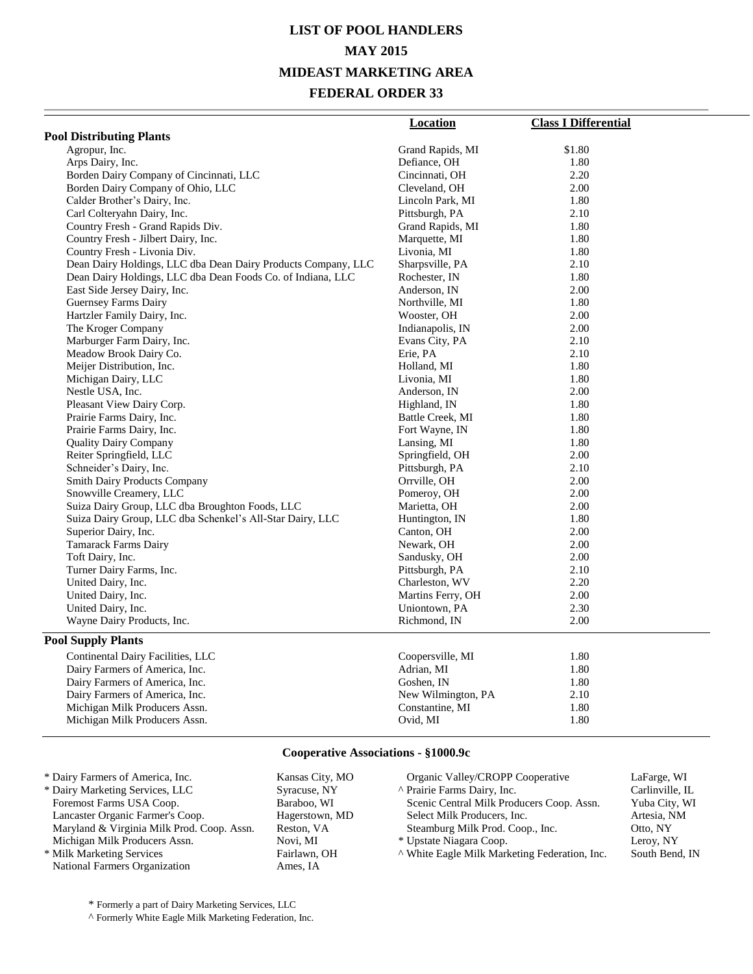# **LIST OF POOL HANDLERS MAY 2015 MIDEAST MARKETING AREA FEDERAL ORDER 33**

| <b>Pool Distributing Plants</b><br>Agropur, Inc.<br>\$1.80<br>Grand Rapids, MI<br>Arps Dairy, Inc.<br>1.80<br>Defiance, OH<br>2.20<br>Borden Dairy Company of Cincinnati, LLC<br>Cincinnati, OH<br>Borden Dairy Company of Ohio, LLC<br>2.00<br>Cleveland, OH<br>Calder Brother's Dairy, Inc.<br>1.80<br>Lincoln Park, MI<br>2.10<br>Carl Colteryahn Dairy, Inc.<br>Pittsburgh, PA<br>Country Fresh - Grand Rapids Div.<br>Grand Rapids, MI<br>1.80<br>Country Fresh - Jilbert Dairy, Inc.<br>Marquette, MI<br>1.80<br>Country Fresh - Livonia Div.<br>Livonia, MI<br>1.80<br>2.10<br>Dean Dairy Holdings, LLC dba Dean Dairy Products Company, LLC<br>Sharpsville, PA<br>1.80<br>Dean Dairy Holdings, LLC dba Dean Foods Co. of Indiana, LLC<br>Rochester, IN<br>East Side Jersey Dairy, Inc.<br>2.00<br>Anderson, IN<br>1.80<br>Guernsey Farms Dairy<br>Northville, MI<br>2.00<br>Hartzler Family Dairy, Inc.<br>Wooster, OH<br>2.00<br>The Kroger Company<br>Indianapolis, IN<br>Marburger Farm Dairy, Inc.<br>Evans City, PA<br>2.10<br>2.10<br>Meadow Brook Dairy Co.<br>Erie, PA<br>Meijer Distribution, Inc.<br>1.80<br>Holland, MI<br>1.80<br>Michigan Dairy, LLC<br>Livonia, MI<br>2.00<br>Nestle USA, Inc.<br>Anderson, IN<br>1.80<br>Pleasant View Dairy Corp.<br>Highland, IN<br>1.80<br>Prairie Farms Dairy, Inc.<br>Battle Creek, MI<br>Prairie Farms Dairy, Inc.<br>Fort Wayne, IN<br>1.80<br><b>Quality Dairy Company</b><br>Lansing, MI<br>1.80<br>Reiter Springfield, LLC<br>2.00<br>Springfield, OH<br>2.10<br>Schneider's Dairy, Inc.<br>Pittsburgh, PA<br>2.00<br><b>Smith Dairy Products Company</b><br>Orrville, OH<br>2.00<br>Snowville Creamery, LLC<br>Pomeroy, OH<br>Suiza Dairy Group, LLC dba Broughton Foods, LLC<br>Marietta, OH<br>2.00<br>1.80<br>Suiza Dairy Group, LLC dba Schenkel's All-Star Dairy, LLC<br>Huntington, IN<br>2.00<br>Superior Dairy, Inc.<br>Canton, OH<br><b>Tamarack Farms Dairy</b><br>Newark, OH<br>2.00<br>Toft Dairy, Inc.<br>Sandusky, OH<br>2.00<br>2.10<br>Turner Dairy Farms, Inc.<br>Pittsburgh, PA<br>United Dairy, Inc.<br>2.20<br>Charleston, WV<br>United Dairy, Inc.<br>2.00<br>Martins Ferry, OH<br>2.30<br>United Dairy, Inc.<br>Uniontown, PA<br>Wayne Dairy Products, Inc.<br>Richmond, IN<br>2.00<br><b>Pool Supply Plants</b><br>Continental Dairy Facilities, LLC<br>Coopersville, MI<br>1.80<br>Dairy Farmers of America, Inc.<br>Adrian, MI<br>1.80<br>Goshen, IN<br>1.80<br>Dairy Farmers of America, Inc.<br>Dairy Farmers of America, Inc.<br>New Wilmington, PA<br>2.10<br>1.80<br>Michigan Milk Producers Assn.<br>Constantine, MI | Location | <b>Class I Differential</b> |
|-----------------------------------------------------------------------------------------------------------------------------------------------------------------------------------------------------------------------------------------------------------------------------------------------------------------------------------------------------------------------------------------------------------------------------------------------------------------------------------------------------------------------------------------------------------------------------------------------------------------------------------------------------------------------------------------------------------------------------------------------------------------------------------------------------------------------------------------------------------------------------------------------------------------------------------------------------------------------------------------------------------------------------------------------------------------------------------------------------------------------------------------------------------------------------------------------------------------------------------------------------------------------------------------------------------------------------------------------------------------------------------------------------------------------------------------------------------------------------------------------------------------------------------------------------------------------------------------------------------------------------------------------------------------------------------------------------------------------------------------------------------------------------------------------------------------------------------------------------------------------------------------------------------------------------------------------------------------------------------------------------------------------------------------------------------------------------------------------------------------------------------------------------------------------------------------------------------------------------------------------------------------------------------------------------------------------------------------------------------------------------------------------------------------------------------------------------------------------------------------------------------------------------------------------------------------------------------------------------------------------|----------|-----------------------------|
|                                                                                                                                                                                                                                                                                                                                                                                                                                                                                                                                                                                                                                                                                                                                                                                                                                                                                                                                                                                                                                                                                                                                                                                                                                                                                                                                                                                                                                                                                                                                                                                                                                                                                                                                                                                                                                                                                                                                                                                                                                                                                                                                                                                                                                                                                                                                                                                                                                                                                                                                                                                                                       |          |                             |
|                                                                                                                                                                                                                                                                                                                                                                                                                                                                                                                                                                                                                                                                                                                                                                                                                                                                                                                                                                                                                                                                                                                                                                                                                                                                                                                                                                                                                                                                                                                                                                                                                                                                                                                                                                                                                                                                                                                                                                                                                                                                                                                                                                                                                                                                                                                                                                                                                                                                                                                                                                                                                       |          |                             |
|                                                                                                                                                                                                                                                                                                                                                                                                                                                                                                                                                                                                                                                                                                                                                                                                                                                                                                                                                                                                                                                                                                                                                                                                                                                                                                                                                                                                                                                                                                                                                                                                                                                                                                                                                                                                                                                                                                                                                                                                                                                                                                                                                                                                                                                                                                                                                                                                                                                                                                                                                                                                                       |          |                             |
|                                                                                                                                                                                                                                                                                                                                                                                                                                                                                                                                                                                                                                                                                                                                                                                                                                                                                                                                                                                                                                                                                                                                                                                                                                                                                                                                                                                                                                                                                                                                                                                                                                                                                                                                                                                                                                                                                                                                                                                                                                                                                                                                                                                                                                                                                                                                                                                                                                                                                                                                                                                                                       |          |                             |
|                                                                                                                                                                                                                                                                                                                                                                                                                                                                                                                                                                                                                                                                                                                                                                                                                                                                                                                                                                                                                                                                                                                                                                                                                                                                                                                                                                                                                                                                                                                                                                                                                                                                                                                                                                                                                                                                                                                                                                                                                                                                                                                                                                                                                                                                                                                                                                                                                                                                                                                                                                                                                       |          |                             |
|                                                                                                                                                                                                                                                                                                                                                                                                                                                                                                                                                                                                                                                                                                                                                                                                                                                                                                                                                                                                                                                                                                                                                                                                                                                                                                                                                                                                                                                                                                                                                                                                                                                                                                                                                                                                                                                                                                                                                                                                                                                                                                                                                                                                                                                                                                                                                                                                                                                                                                                                                                                                                       |          |                             |
|                                                                                                                                                                                                                                                                                                                                                                                                                                                                                                                                                                                                                                                                                                                                                                                                                                                                                                                                                                                                                                                                                                                                                                                                                                                                                                                                                                                                                                                                                                                                                                                                                                                                                                                                                                                                                                                                                                                                                                                                                                                                                                                                                                                                                                                                                                                                                                                                                                                                                                                                                                                                                       |          |                             |
|                                                                                                                                                                                                                                                                                                                                                                                                                                                                                                                                                                                                                                                                                                                                                                                                                                                                                                                                                                                                                                                                                                                                                                                                                                                                                                                                                                                                                                                                                                                                                                                                                                                                                                                                                                                                                                                                                                                                                                                                                                                                                                                                                                                                                                                                                                                                                                                                                                                                                                                                                                                                                       |          |                             |
|                                                                                                                                                                                                                                                                                                                                                                                                                                                                                                                                                                                                                                                                                                                                                                                                                                                                                                                                                                                                                                                                                                                                                                                                                                                                                                                                                                                                                                                                                                                                                                                                                                                                                                                                                                                                                                                                                                                                                                                                                                                                                                                                                                                                                                                                                                                                                                                                                                                                                                                                                                                                                       |          |                             |
|                                                                                                                                                                                                                                                                                                                                                                                                                                                                                                                                                                                                                                                                                                                                                                                                                                                                                                                                                                                                                                                                                                                                                                                                                                                                                                                                                                                                                                                                                                                                                                                                                                                                                                                                                                                                                                                                                                                                                                                                                                                                                                                                                                                                                                                                                                                                                                                                                                                                                                                                                                                                                       |          |                             |
|                                                                                                                                                                                                                                                                                                                                                                                                                                                                                                                                                                                                                                                                                                                                                                                                                                                                                                                                                                                                                                                                                                                                                                                                                                                                                                                                                                                                                                                                                                                                                                                                                                                                                                                                                                                                                                                                                                                                                                                                                                                                                                                                                                                                                                                                                                                                                                                                                                                                                                                                                                                                                       |          |                             |
|                                                                                                                                                                                                                                                                                                                                                                                                                                                                                                                                                                                                                                                                                                                                                                                                                                                                                                                                                                                                                                                                                                                                                                                                                                                                                                                                                                                                                                                                                                                                                                                                                                                                                                                                                                                                                                                                                                                                                                                                                                                                                                                                                                                                                                                                                                                                                                                                                                                                                                                                                                                                                       |          |                             |
|                                                                                                                                                                                                                                                                                                                                                                                                                                                                                                                                                                                                                                                                                                                                                                                                                                                                                                                                                                                                                                                                                                                                                                                                                                                                                                                                                                                                                                                                                                                                                                                                                                                                                                                                                                                                                                                                                                                                                                                                                                                                                                                                                                                                                                                                                                                                                                                                                                                                                                                                                                                                                       |          |                             |
|                                                                                                                                                                                                                                                                                                                                                                                                                                                                                                                                                                                                                                                                                                                                                                                                                                                                                                                                                                                                                                                                                                                                                                                                                                                                                                                                                                                                                                                                                                                                                                                                                                                                                                                                                                                                                                                                                                                                                                                                                                                                                                                                                                                                                                                                                                                                                                                                                                                                                                                                                                                                                       |          |                             |
|                                                                                                                                                                                                                                                                                                                                                                                                                                                                                                                                                                                                                                                                                                                                                                                                                                                                                                                                                                                                                                                                                                                                                                                                                                                                                                                                                                                                                                                                                                                                                                                                                                                                                                                                                                                                                                                                                                                                                                                                                                                                                                                                                                                                                                                                                                                                                                                                                                                                                                                                                                                                                       |          |                             |
|                                                                                                                                                                                                                                                                                                                                                                                                                                                                                                                                                                                                                                                                                                                                                                                                                                                                                                                                                                                                                                                                                                                                                                                                                                                                                                                                                                                                                                                                                                                                                                                                                                                                                                                                                                                                                                                                                                                                                                                                                                                                                                                                                                                                                                                                                                                                                                                                                                                                                                                                                                                                                       |          |                             |
|                                                                                                                                                                                                                                                                                                                                                                                                                                                                                                                                                                                                                                                                                                                                                                                                                                                                                                                                                                                                                                                                                                                                                                                                                                                                                                                                                                                                                                                                                                                                                                                                                                                                                                                                                                                                                                                                                                                                                                                                                                                                                                                                                                                                                                                                                                                                                                                                                                                                                                                                                                                                                       |          |                             |
|                                                                                                                                                                                                                                                                                                                                                                                                                                                                                                                                                                                                                                                                                                                                                                                                                                                                                                                                                                                                                                                                                                                                                                                                                                                                                                                                                                                                                                                                                                                                                                                                                                                                                                                                                                                                                                                                                                                                                                                                                                                                                                                                                                                                                                                                                                                                                                                                                                                                                                                                                                                                                       |          |                             |
|                                                                                                                                                                                                                                                                                                                                                                                                                                                                                                                                                                                                                                                                                                                                                                                                                                                                                                                                                                                                                                                                                                                                                                                                                                                                                                                                                                                                                                                                                                                                                                                                                                                                                                                                                                                                                                                                                                                                                                                                                                                                                                                                                                                                                                                                                                                                                                                                                                                                                                                                                                                                                       |          |                             |
|                                                                                                                                                                                                                                                                                                                                                                                                                                                                                                                                                                                                                                                                                                                                                                                                                                                                                                                                                                                                                                                                                                                                                                                                                                                                                                                                                                                                                                                                                                                                                                                                                                                                                                                                                                                                                                                                                                                                                                                                                                                                                                                                                                                                                                                                                                                                                                                                                                                                                                                                                                                                                       |          |                             |
|                                                                                                                                                                                                                                                                                                                                                                                                                                                                                                                                                                                                                                                                                                                                                                                                                                                                                                                                                                                                                                                                                                                                                                                                                                                                                                                                                                                                                                                                                                                                                                                                                                                                                                                                                                                                                                                                                                                                                                                                                                                                                                                                                                                                                                                                                                                                                                                                                                                                                                                                                                                                                       |          |                             |
|                                                                                                                                                                                                                                                                                                                                                                                                                                                                                                                                                                                                                                                                                                                                                                                                                                                                                                                                                                                                                                                                                                                                                                                                                                                                                                                                                                                                                                                                                                                                                                                                                                                                                                                                                                                                                                                                                                                                                                                                                                                                                                                                                                                                                                                                                                                                                                                                                                                                                                                                                                                                                       |          |                             |
|                                                                                                                                                                                                                                                                                                                                                                                                                                                                                                                                                                                                                                                                                                                                                                                                                                                                                                                                                                                                                                                                                                                                                                                                                                                                                                                                                                                                                                                                                                                                                                                                                                                                                                                                                                                                                                                                                                                                                                                                                                                                                                                                                                                                                                                                                                                                                                                                                                                                                                                                                                                                                       |          |                             |
|                                                                                                                                                                                                                                                                                                                                                                                                                                                                                                                                                                                                                                                                                                                                                                                                                                                                                                                                                                                                                                                                                                                                                                                                                                                                                                                                                                                                                                                                                                                                                                                                                                                                                                                                                                                                                                                                                                                                                                                                                                                                                                                                                                                                                                                                                                                                                                                                                                                                                                                                                                                                                       |          |                             |
|                                                                                                                                                                                                                                                                                                                                                                                                                                                                                                                                                                                                                                                                                                                                                                                                                                                                                                                                                                                                                                                                                                                                                                                                                                                                                                                                                                                                                                                                                                                                                                                                                                                                                                                                                                                                                                                                                                                                                                                                                                                                                                                                                                                                                                                                                                                                                                                                                                                                                                                                                                                                                       |          |                             |
|                                                                                                                                                                                                                                                                                                                                                                                                                                                                                                                                                                                                                                                                                                                                                                                                                                                                                                                                                                                                                                                                                                                                                                                                                                                                                                                                                                                                                                                                                                                                                                                                                                                                                                                                                                                                                                                                                                                                                                                                                                                                                                                                                                                                                                                                                                                                                                                                                                                                                                                                                                                                                       |          |                             |
|                                                                                                                                                                                                                                                                                                                                                                                                                                                                                                                                                                                                                                                                                                                                                                                                                                                                                                                                                                                                                                                                                                                                                                                                                                                                                                                                                                                                                                                                                                                                                                                                                                                                                                                                                                                                                                                                                                                                                                                                                                                                                                                                                                                                                                                                                                                                                                                                                                                                                                                                                                                                                       |          |                             |
|                                                                                                                                                                                                                                                                                                                                                                                                                                                                                                                                                                                                                                                                                                                                                                                                                                                                                                                                                                                                                                                                                                                                                                                                                                                                                                                                                                                                                                                                                                                                                                                                                                                                                                                                                                                                                                                                                                                                                                                                                                                                                                                                                                                                                                                                                                                                                                                                                                                                                                                                                                                                                       |          |                             |
|                                                                                                                                                                                                                                                                                                                                                                                                                                                                                                                                                                                                                                                                                                                                                                                                                                                                                                                                                                                                                                                                                                                                                                                                                                                                                                                                                                                                                                                                                                                                                                                                                                                                                                                                                                                                                                                                                                                                                                                                                                                                                                                                                                                                                                                                                                                                                                                                                                                                                                                                                                                                                       |          |                             |
|                                                                                                                                                                                                                                                                                                                                                                                                                                                                                                                                                                                                                                                                                                                                                                                                                                                                                                                                                                                                                                                                                                                                                                                                                                                                                                                                                                                                                                                                                                                                                                                                                                                                                                                                                                                                                                                                                                                                                                                                                                                                                                                                                                                                                                                                                                                                                                                                                                                                                                                                                                                                                       |          |                             |
|                                                                                                                                                                                                                                                                                                                                                                                                                                                                                                                                                                                                                                                                                                                                                                                                                                                                                                                                                                                                                                                                                                                                                                                                                                                                                                                                                                                                                                                                                                                                                                                                                                                                                                                                                                                                                                                                                                                                                                                                                                                                                                                                                                                                                                                                                                                                                                                                                                                                                                                                                                                                                       |          |                             |
|                                                                                                                                                                                                                                                                                                                                                                                                                                                                                                                                                                                                                                                                                                                                                                                                                                                                                                                                                                                                                                                                                                                                                                                                                                                                                                                                                                                                                                                                                                                                                                                                                                                                                                                                                                                                                                                                                                                                                                                                                                                                                                                                                                                                                                                                                                                                                                                                                                                                                                                                                                                                                       |          |                             |
|                                                                                                                                                                                                                                                                                                                                                                                                                                                                                                                                                                                                                                                                                                                                                                                                                                                                                                                                                                                                                                                                                                                                                                                                                                                                                                                                                                                                                                                                                                                                                                                                                                                                                                                                                                                                                                                                                                                                                                                                                                                                                                                                                                                                                                                                                                                                                                                                                                                                                                                                                                                                                       |          |                             |
|                                                                                                                                                                                                                                                                                                                                                                                                                                                                                                                                                                                                                                                                                                                                                                                                                                                                                                                                                                                                                                                                                                                                                                                                                                                                                                                                                                                                                                                                                                                                                                                                                                                                                                                                                                                                                                                                                                                                                                                                                                                                                                                                                                                                                                                                                                                                                                                                                                                                                                                                                                                                                       |          |                             |
|                                                                                                                                                                                                                                                                                                                                                                                                                                                                                                                                                                                                                                                                                                                                                                                                                                                                                                                                                                                                                                                                                                                                                                                                                                                                                                                                                                                                                                                                                                                                                                                                                                                                                                                                                                                                                                                                                                                                                                                                                                                                                                                                                                                                                                                                                                                                                                                                                                                                                                                                                                                                                       |          |                             |
|                                                                                                                                                                                                                                                                                                                                                                                                                                                                                                                                                                                                                                                                                                                                                                                                                                                                                                                                                                                                                                                                                                                                                                                                                                                                                                                                                                                                                                                                                                                                                                                                                                                                                                                                                                                                                                                                                                                                                                                                                                                                                                                                                                                                                                                                                                                                                                                                                                                                                                                                                                                                                       |          |                             |
|                                                                                                                                                                                                                                                                                                                                                                                                                                                                                                                                                                                                                                                                                                                                                                                                                                                                                                                                                                                                                                                                                                                                                                                                                                                                                                                                                                                                                                                                                                                                                                                                                                                                                                                                                                                                                                                                                                                                                                                                                                                                                                                                                                                                                                                                                                                                                                                                                                                                                                                                                                                                                       |          |                             |
|                                                                                                                                                                                                                                                                                                                                                                                                                                                                                                                                                                                                                                                                                                                                                                                                                                                                                                                                                                                                                                                                                                                                                                                                                                                                                                                                                                                                                                                                                                                                                                                                                                                                                                                                                                                                                                                                                                                                                                                                                                                                                                                                                                                                                                                                                                                                                                                                                                                                                                                                                                                                                       |          |                             |
|                                                                                                                                                                                                                                                                                                                                                                                                                                                                                                                                                                                                                                                                                                                                                                                                                                                                                                                                                                                                                                                                                                                                                                                                                                                                                                                                                                                                                                                                                                                                                                                                                                                                                                                                                                                                                                                                                                                                                                                                                                                                                                                                                                                                                                                                                                                                                                                                                                                                                                                                                                                                                       |          |                             |
|                                                                                                                                                                                                                                                                                                                                                                                                                                                                                                                                                                                                                                                                                                                                                                                                                                                                                                                                                                                                                                                                                                                                                                                                                                                                                                                                                                                                                                                                                                                                                                                                                                                                                                                                                                                                                                                                                                                                                                                                                                                                                                                                                                                                                                                                                                                                                                                                                                                                                                                                                                                                                       |          |                             |
|                                                                                                                                                                                                                                                                                                                                                                                                                                                                                                                                                                                                                                                                                                                                                                                                                                                                                                                                                                                                                                                                                                                                                                                                                                                                                                                                                                                                                                                                                                                                                                                                                                                                                                                                                                                                                                                                                                                                                                                                                                                                                                                                                                                                                                                                                                                                                                                                                                                                                                                                                                                                                       |          |                             |
|                                                                                                                                                                                                                                                                                                                                                                                                                                                                                                                                                                                                                                                                                                                                                                                                                                                                                                                                                                                                                                                                                                                                                                                                                                                                                                                                                                                                                                                                                                                                                                                                                                                                                                                                                                                                                                                                                                                                                                                                                                                                                                                                                                                                                                                                                                                                                                                                                                                                                                                                                                                                                       |          |                             |
|                                                                                                                                                                                                                                                                                                                                                                                                                                                                                                                                                                                                                                                                                                                                                                                                                                                                                                                                                                                                                                                                                                                                                                                                                                                                                                                                                                                                                                                                                                                                                                                                                                                                                                                                                                                                                                                                                                                                                                                                                                                                                                                                                                                                                                                                                                                                                                                                                                                                                                                                                                                                                       |          |                             |
|                                                                                                                                                                                                                                                                                                                                                                                                                                                                                                                                                                                                                                                                                                                                                                                                                                                                                                                                                                                                                                                                                                                                                                                                                                                                                                                                                                                                                                                                                                                                                                                                                                                                                                                                                                                                                                                                                                                                                                                                                                                                                                                                                                                                                                                                                                                                                                                                                                                                                                                                                                                                                       |          |                             |
|                                                                                                                                                                                                                                                                                                                                                                                                                                                                                                                                                                                                                                                                                                                                                                                                                                                                                                                                                                                                                                                                                                                                                                                                                                                                                                                                                                                                                                                                                                                                                                                                                                                                                                                                                                                                                                                                                                                                                                                                                                                                                                                                                                                                                                                                                                                                                                                                                                                                                                                                                                                                                       |          |                             |
| 1.80<br>Michigan Milk Producers Assn.<br>Ovid, MI                                                                                                                                                                                                                                                                                                                                                                                                                                                                                                                                                                                                                                                                                                                                                                                                                                                                                                                                                                                                                                                                                                                                                                                                                                                                                                                                                                                                                                                                                                                                                                                                                                                                                                                                                                                                                                                                                                                                                                                                                                                                                                                                                                                                                                                                                                                                                                                                                                                                                                                                                                     |          |                             |

### **Cooperative Associations - §1000.9c**

| * Dairy Farmers of America, Inc.           | Kansas City, MO | Organic Valley/CROPP Cooperative              | LaFarge, WI     |
|--------------------------------------------|-----------------|-----------------------------------------------|-----------------|
| * Dairy Marketing Services, LLC            | Syracuse, NY    | A Prairie Farms Dairy, Inc.                   | Carlinville, IL |
| Foremost Farms USA Coop.                   | Baraboo, WI     | Scenic Central Milk Producers Coop. Assn.     | Yuba City, WI   |
| Lancaster Organic Farmer's Coop.           | Hagerstown, MD  | Select Milk Producers, Inc.                   | Artesia, NM     |
| Maryland & Virginia Milk Prod. Coop. Assn. | Reston, VA      | Steamburg Milk Prod. Coop., Inc.              | Otto, NY        |
| Michigan Milk Producers Assn.              | Novi. MI        | * Upstate Niagara Coop.                       | Leroy, NY       |
| * Milk Marketing Services                  | Fairlawn, OH    | A White Eagle Milk Marketing Federation, Inc. | South Bend, IN  |
| National Farmers Organization              | Ames. IA        |                                               |                 |

\* Formerly a part of Dairy Marketing Services, LLC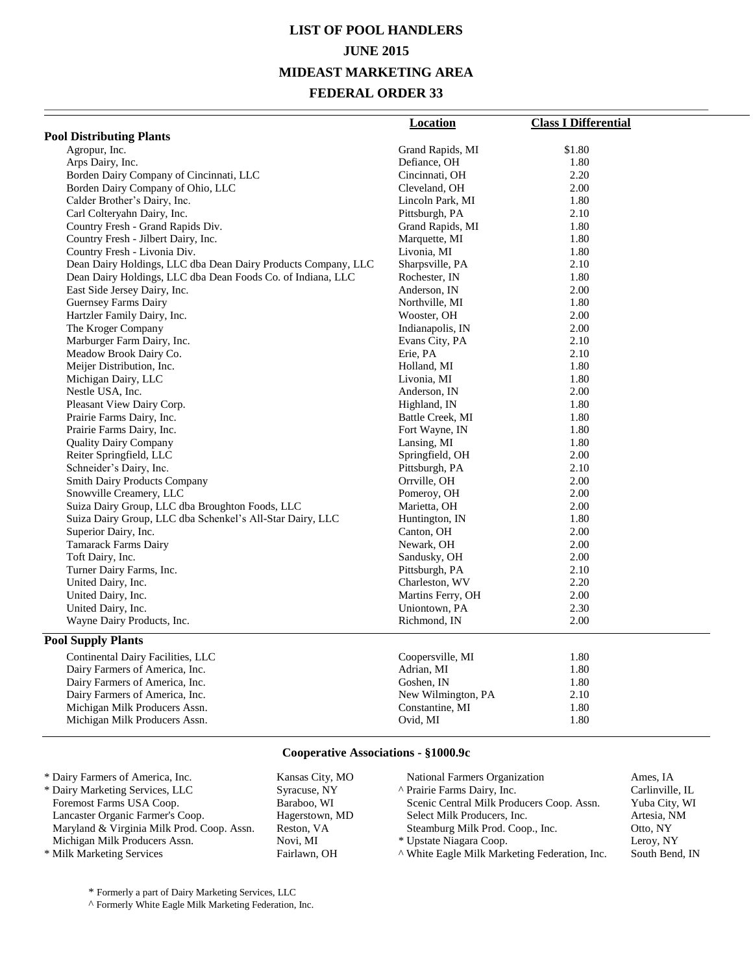# **LIST OF POOL HANDLERS JUNE 2015 MIDEAST MARKETING AREA FEDERAL ORDER 33**

|                                                               | <b>Location</b>    | <b>Class I Differential</b> |
|---------------------------------------------------------------|--------------------|-----------------------------|
| <b>Pool Distributing Plants</b>                               |                    |                             |
| Agropur, Inc.                                                 | Grand Rapids, MI   | \$1.80                      |
| Arps Dairy, Inc.                                              | Defiance, OH       | 1.80                        |
| Borden Dairy Company of Cincinnati, LLC                       | Cincinnati, OH     | 2.20                        |
| Borden Dairy Company of Ohio, LLC                             | Cleveland, OH      | 2.00                        |
| Calder Brother's Dairy, Inc.                                  | Lincoln Park, MI   | 1.80                        |
| Carl Colteryahn Dairy, Inc.                                   | Pittsburgh, PA     | 2.10                        |
| Country Fresh - Grand Rapids Div.                             | Grand Rapids, MI   | 1.80                        |
| Country Fresh - Jilbert Dairy, Inc.                           | Marquette, MI      | 1.80                        |
| Country Fresh - Livonia Div.                                  | Livonia, MI        | 1.80                        |
| Dean Dairy Holdings, LLC dba Dean Dairy Products Company, LLC | Sharpsville, PA    | 2.10                        |
| Dean Dairy Holdings, LLC dba Dean Foods Co. of Indiana, LLC   | Rochester, IN      | 1.80                        |
| East Side Jersey Dairy, Inc.                                  | Anderson, IN       | 2.00                        |
| Guernsey Farms Dairy                                          | Northville, MI     | 1.80                        |
| Hartzler Family Dairy, Inc.                                   | Wooster, OH        | 2.00                        |
| The Kroger Company                                            | Indianapolis, IN   | 2.00                        |
| Marburger Farm Dairy, Inc.                                    | Evans City, PA     | 2.10                        |
| Meadow Brook Dairy Co.                                        | Erie, PA           | 2.10                        |
| Meijer Distribution, Inc.                                     | Holland, MI        | 1.80                        |
| Michigan Dairy, LLC                                           | Livonia, MI        | 1.80                        |
| Nestle USA, Inc.                                              | Anderson, IN       | 2.00                        |
| Pleasant View Dairy Corp.                                     | Highland, IN       | 1.80                        |
| Prairie Farms Dairy, Inc.                                     | Battle Creek, MI   | 1.80                        |
| Prairie Farms Dairy, Inc.                                     | Fort Wayne, IN     | 1.80                        |
| <b>Quality Dairy Company</b>                                  | Lansing, MI        | 1.80                        |
| Reiter Springfield, LLC                                       | Springfield, OH    | 2.00                        |
| Schneider's Dairy, Inc.                                       | Pittsburgh, PA     | 2.10                        |
| <b>Smith Dairy Products Company</b>                           | Orrville, OH       | 2.00                        |
| Snowville Creamery, LLC                                       | Pomeroy, OH        | 2.00                        |
| Suiza Dairy Group, LLC dba Broughton Foods, LLC               | Marietta, OH       | 2.00                        |
| Suiza Dairy Group, LLC dba Schenkel's All-Star Dairy, LLC     | Huntington, IN     | 1.80                        |
| Superior Dairy, Inc.                                          | Canton, OH         | 2.00                        |
| <b>Tamarack Farms Dairy</b>                                   | Newark, OH         | 2.00                        |
| Toft Dairy, Inc.                                              | Sandusky, OH       | 2.00                        |
| Turner Dairy Farms, Inc.                                      | Pittsburgh, PA     | 2.10                        |
| United Dairy, Inc.                                            | Charleston, WV     | 2.20                        |
| United Dairy, Inc.                                            | Martins Ferry, OH  | 2.00                        |
| United Dairy, Inc.                                            | Uniontown, PA      | 2.30                        |
| Wayne Dairy Products, Inc.                                    | Richmond, IN       | 2.00                        |
| <b>Pool Supply Plants</b>                                     |                    |                             |
| Continental Dairy Facilities, LLC                             | Coopersville, MI   | 1.80                        |
| Dairy Farmers of America, Inc.                                | Adrian, MI         | 1.80                        |
| Dairy Farmers of America, Inc.                                | Goshen, IN         | 1.80                        |
| Dairy Farmers of America, Inc.                                | New Wilmington, PA | 2.10                        |
| Michigan Milk Producers Assn.                                 | Constantine, MI    | 1.80                        |
| Michigan Milk Producers Assn.                                 | Ovid, MI           | 1.80                        |
|                                                               |                    |                             |

#### **Cooperative Associations - §1000.9c**

| * Dairy Farmers of America, Inc.           | Kansas City, MO | National Farmers Organization                 | Ames. IA        |
|--------------------------------------------|-----------------|-----------------------------------------------|-----------------|
| * Dairy Marketing Services, LLC            | Syracuse, NY    | A Prairie Farms Dairy, Inc.                   | Carlinville, IL |
| Foremost Farms USA Coop.                   | Baraboo, WI     | Scenic Central Milk Producers Coop. Assn.     | Yuba City, WI   |
| Lancaster Organic Farmer's Coop.           | Hagerstown, MD  | Select Milk Producers, Inc.                   | Artesia, NM     |
| Maryland & Virginia Milk Prod. Coop. Assn. | Reston, VA      | Steamburg Milk Prod. Coop., Inc.              | Otto, NY        |
| Michigan Milk Producers Assn.              | Novi. MI        | * Upstate Niagara Coop.                       | Leroy, NY       |
| * Milk Marketing Services                  | Fairlawn, OH    | A White Eagle Milk Marketing Federation, Inc. | South Bend, IN  |

\* Formerly a part of Dairy Marketing Services, LLC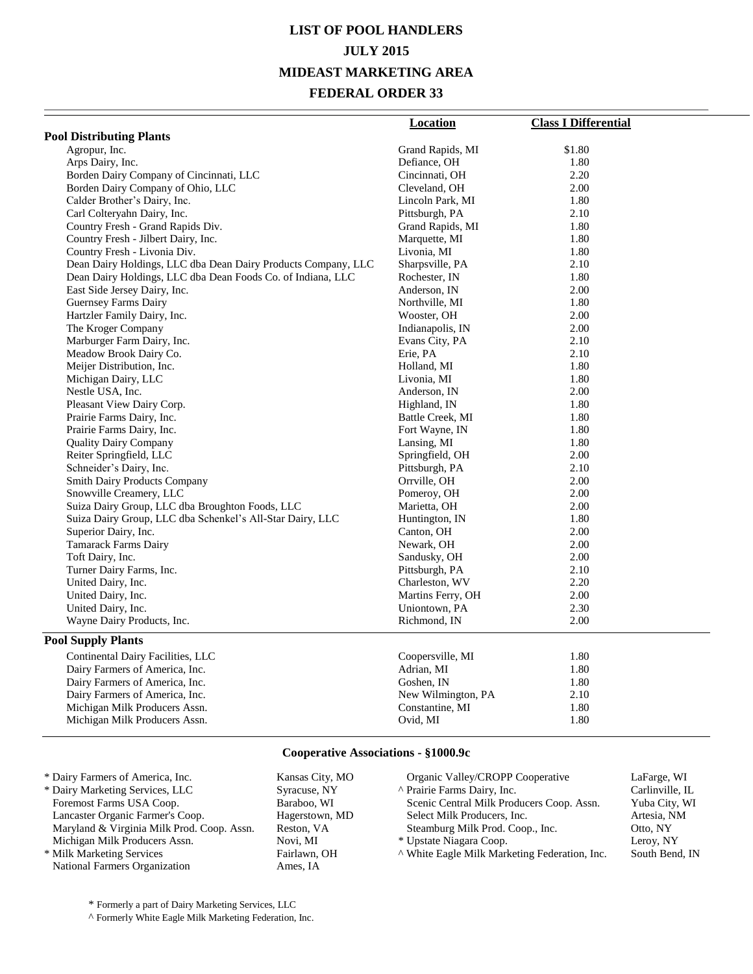# **LIST OF POOL HANDLERS JULY 2015 MIDEAST MARKETING AREA FEDERAL ORDER 33**

|                                                               | <b>Location</b>    | <b>Class I Differential</b> |
|---------------------------------------------------------------|--------------------|-----------------------------|
| <b>Pool Distributing Plants</b>                               |                    |                             |
| Agropur, Inc.                                                 | Grand Rapids, MI   | \$1.80                      |
| Arps Dairy, Inc.                                              | Defiance, OH       | 1.80                        |
| Borden Dairy Company of Cincinnati, LLC                       | Cincinnati, OH     | 2.20                        |
| Borden Dairy Company of Ohio, LLC                             | Cleveland, OH      | 2.00                        |
| Calder Brother's Dairy, Inc.                                  | Lincoln Park, MI   | 1.80                        |
| Carl Colteryahn Dairy, Inc.                                   | Pittsburgh, PA     | 2.10                        |
| Country Fresh - Grand Rapids Div.                             | Grand Rapids, MI   | 1.80                        |
| Country Fresh - Jilbert Dairy, Inc.                           | Marquette, MI      | 1.80                        |
| Country Fresh - Livonia Div.                                  | Livonia, MI        | 1.80                        |
| Dean Dairy Holdings, LLC dba Dean Dairy Products Company, LLC | Sharpsville, PA    | 2.10                        |
| Dean Dairy Holdings, LLC dba Dean Foods Co. of Indiana, LLC   | Rochester, IN      | 1.80                        |
| East Side Jersey Dairy, Inc.                                  | Anderson, IN       | 2.00                        |
| Guernsey Farms Dairy                                          | Northville, MI     | 1.80                        |
| Hartzler Family Dairy, Inc.                                   | Wooster, OH        | 2.00                        |
| The Kroger Company                                            | Indianapolis, IN   | 2.00                        |
| Marburger Farm Dairy, Inc.                                    | Evans City, PA     | 2.10                        |
| Meadow Brook Dairy Co.                                        | Erie, PA           | 2.10                        |
| Meijer Distribution, Inc.                                     | Holland, MI        | 1.80                        |
| Michigan Dairy, LLC                                           | Livonia, MI        | 1.80                        |
| Nestle USA, Inc.                                              | Anderson, IN       | 2.00                        |
| Pleasant View Dairy Corp.                                     | Highland, IN       | 1.80                        |
| Prairie Farms Dairy, Inc.                                     | Battle Creek, MI   | 1.80                        |
| Prairie Farms Dairy, Inc.                                     | Fort Wayne, IN     | 1.80                        |
| <b>Quality Dairy Company</b>                                  | Lansing, MI        | 1.80                        |
| Reiter Springfield, LLC                                       | Springfield, OH    | 2.00                        |
| Schneider's Dairy, Inc.                                       | Pittsburgh, PA     | 2.10                        |
| <b>Smith Dairy Products Company</b>                           | Orrville, OH       | 2.00                        |
| Snowville Creamery, LLC                                       | Pomeroy, OH        | 2.00                        |
| Suiza Dairy Group, LLC dba Broughton Foods, LLC               | Marietta, OH       | 2.00                        |
| Suiza Dairy Group, LLC dba Schenkel's All-Star Dairy, LLC     | Huntington, IN     | 1.80                        |
| Superior Dairy, Inc.                                          | Canton, OH         | 2.00                        |
| <b>Tamarack Farms Dairy</b>                                   | Newark, OH         | 2.00                        |
| Toft Dairy, Inc.                                              | Sandusky, OH       | 2.00                        |
| Turner Dairy Farms, Inc.                                      | Pittsburgh, PA     | 2.10                        |
| United Dairy, Inc.                                            | Charleston, WV     | 2.20                        |
| United Dairy, Inc.                                            | Martins Ferry, OH  | 2.00                        |
| United Dairy, Inc.                                            | Uniontown, PA      | 2.30                        |
| Wayne Dairy Products, Inc.                                    | Richmond, IN       | 2.00                        |
| <b>Pool Supply Plants</b>                                     |                    |                             |
| Continental Dairy Facilities, LLC                             | Coopersville, MI   | 1.80                        |
| Dairy Farmers of America, Inc.                                | Adrian, MI         | 1.80                        |
| Dairy Farmers of America, Inc.                                | Goshen, IN         | 1.80                        |
| Dairy Farmers of America, Inc.                                | New Wilmington, PA | 2.10                        |
| Michigan Milk Producers Assn.                                 | Constantine, MI    | 1.80                        |
| Michigan Milk Producers Assn.                                 | Ovid, MI           | 1.80                        |
|                                                               |                    |                             |

#### **Cooperative Associations - §1000.9c**

| * Dairy Farmers of America, Inc.           | Kansas City, MO | Organic Valley/CROPP Cooperative              | LaFarge, WI     |
|--------------------------------------------|-----------------|-----------------------------------------------|-----------------|
| * Dairy Marketing Services, LLC            | Syracuse, NY    | A Prairie Farms Dairy, Inc.                   | Carlinville, IL |
| Foremost Farms USA Coop.                   | Baraboo, WI     | Scenic Central Milk Producers Coop. Assn.     | Yuba City, WI   |
| Lancaster Organic Farmer's Coop.           | Hagerstown, MD  | Select Milk Producers, Inc.                   | Artesia, NM     |
| Maryland & Virginia Milk Prod. Coop. Assn. | Reston, VA      | Steamburg Milk Prod. Coop., Inc.              | Otto, NY        |
| Michigan Milk Producers Assn.              | Novi. MI        | * Upstate Niagara Coop.                       | Leroy, NY       |
| * Milk Marketing Services                  | Fairlawn, OH    | A White Eagle Milk Marketing Federation, Inc. | South Bend, IN  |
| National Farmers Organization              | Ames. IA        |                                               |                 |

\* Formerly a part of Dairy Marketing Services, LLC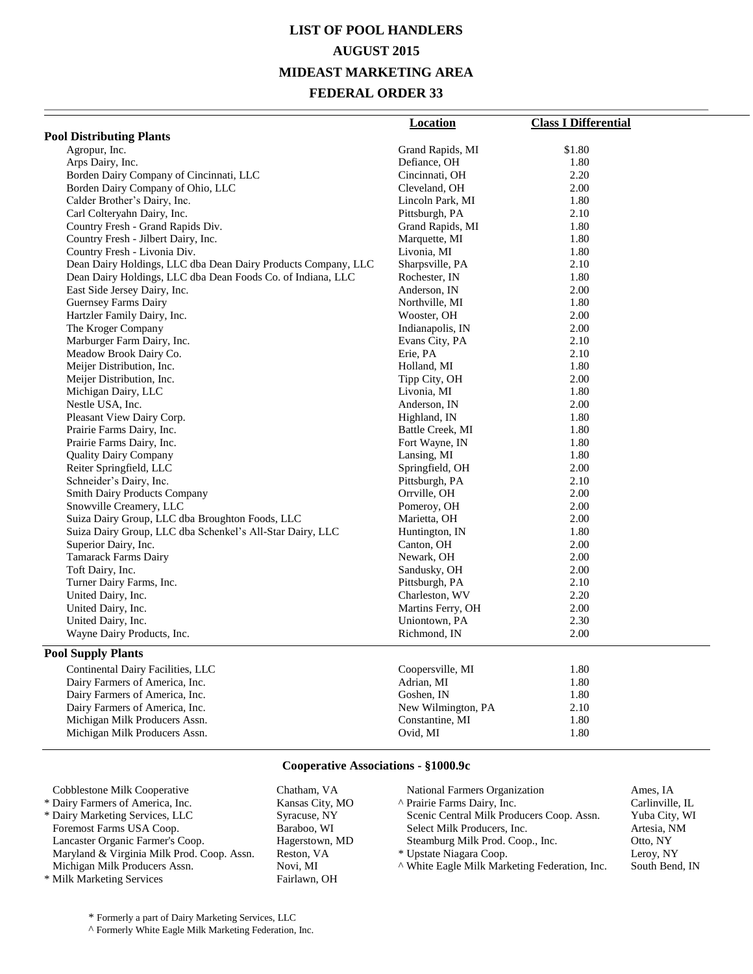# **LIST OF POOL HANDLERS AUGUST 2015 MIDEAST MARKETING AREA FEDERAL ORDER 33**

|                                                               | <b>Location</b>    | <b>Class I Differential</b> |
|---------------------------------------------------------------|--------------------|-----------------------------|
| <b>Pool Distributing Plants</b>                               |                    |                             |
| Agropur, Inc.                                                 | Grand Rapids, MI   | \$1.80                      |
| Arps Dairy, Inc.                                              | Defiance, OH       | 1.80                        |
| Borden Dairy Company of Cincinnati, LLC                       | Cincinnati, OH     | 2.20                        |
| Borden Dairy Company of Ohio, LLC                             | Cleveland, OH      | 2.00                        |
| Calder Brother's Dairy, Inc.                                  | Lincoln Park, MI   | 1.80                        |
| Carl Colteryahn Dairy, Inc.                                   | Pittsburgh, PA     | 2.10                        |
| Country Fresh - Grand Rapids Div.                             | Grand Rapids, MI   | 1.80                        |
| Country Fresh - Jilbert Dairy, Inc.                           | Marquette, MI      | 1.80                        |
| Country Fresh - Livonia Div.                                  | Livonia, MI        | 1.80                        |
| Dean Dairy Holdings, LLC dba Dean Dairy Products Company, LLC | Sharpsville, PA    | 2.10                        |
| Dean Dairy Holdings, LLC dba Dean Foods Co. of Indiana, LLC   | Rochester, IN      | 1.80                        |
| East Side Jersey Dairy, Inc.                                  | Anderson, IN       | 2.00                        |
| <b>Guernsey Farms Dairy</b>                                   | Northville, MI     | 1.80                        |
| Hartzler Family Dairy, Inc.                                   | Wooster, OH        | 2.00                        |
| The Kroger Company                                            | Indianapolis, IN   | 2.00                        |
| Marburger Farm Dairy, Inc.                                    | Evans City, PA     | 2.10                        |
| Meadow Brook Dairy Co.                                        | Erie, PA           | 2.10                        |
| Meijer Distribution, Inc.                                     | Holland, MI        | 1.80                        |
| Meijer Distribution, Inc.                                     | Tipp City, OH      | 2.00                        |
| Michigan Dairy, LLC                                           | Livonia, MI        | 1.80                        |
| Nestle USA, Inc.                                              | Anderson, IN       | 2.00                        |
| Pleasant View Dairy Corp.                                     | Highland, IN       | 1.80                        |
| Prairie Farms Dairy, Inc.                                     | Battle Creek, MI   | 1.80                        |
| Prairie Farms Dairy, Inc.                                     | Fort Wayne, IN     | 1.80                        |
| <b>Quality Dairy Company</b>                                  | Lansing, MI        | 1.80                        |
| Reiter Springfield, LLC                                       | Springfield, OH    | 2.00                        |
| Schneider's Dairy, Inc.                                       | Pittsburgh, PA     | 2.10                        |
| <b>Smith Dairy Products Company</b>                           | Orrville, OH       | 2.00                        |
| Snowville Creamery, LLC                                       | Pomeroy, OH        | 2.00                        |
| Suiza Dairy Group, LLC dba Broughton Foods, LLC               | Marietta, OH       | 2.00                        |
| Suiza Dairy Group, LLC dba Schenkel's All-Star Dairy, LLC     | Huntington, IN     | 1.80                        |
| Superior Dairy, Inc.                                          | Canton, OH         | 2.00                        |
| Tamarack Farms Dairy                                          | Newark, OH         | 2.00                        |
| Toft Dairy, Inc.                                              | Sandusky, OH       | 2.00                        |
| Turner Dairy Farms, Inc.                                      | Pittsburgh, PA     | 2.10                        |
| United Dairy, Inc.                                            | Charleston, WV     | 2.20                        |
| United Dairy, Inc.                                            | Martins Ferry, OH  | 2.00                        |
| United Dairy, Inc.                                            | Uniontown, PA      | 2.30                        |
| Wayne Dairy Products, Inc.                                    | Richmond, IN       | 2.00                        |
| <b>Pool Supply Plants</b>                                     |                    |                             |
| Continental Dairy Facilities, LLC                             | Coopersville, MI   | 1.80                        |
| Dairy Farmers of America, Inc.                                | Adrian, MI         | 1.80                        |
| Dairy Farmers of America, Inc.                                | Goshen, IN         | 1.80                        |
| Dairy Farmers of America, Inc.                                | New Wilmington, PA | 2.10                        |
| Michigan Milk Producers Assn.                                 | Constantine, MI    | 1.80                        |
| Michigan Milk Producers Assn.                                 | Ovid, MI           | 1.80                        |

#### **Cooperative Associations - §1000.9c**

| Cobblestone Milk Cooperative               | Chatham, VA     | National Farmers Organization                 | Ames. IA        |
|--------------------------------------------|-----------------|-----------------------------------------------|-----------------|
| * Dairy Farmers of America, Inc.           | Kansas City, MO | A Prairie Farms Dairy, Inc.                   | Carlinville, IL |
| * Dairy Marketing Services, LLC            | Syracuse, NY    | Scenic Central Milk Producers Coop. Assn.     | Yuba City, WI   |
| Foremost Farms USA Coop.                   | Baraboo, WI     | Select Milk Producers, Inc.                   | Artesia, NM     |
| Lancaster Organic Farmer's Coop.           | Hagerstown, MD  | Steamburg Milk Prod. Coop., Inc.              | Otto, NY        |
| Maryland & Virginia Milk Prod. Coop. Assn. | Reston, VA      | * Upstate Niagara Coop.                       | Leroy, NY       |
| Michigan Milk Producers Assn.              | Novi. MI        | A White Eagle Milk Marketing Federation, Inc. | South Bend, IN  |
| * Milk Marketing Services                  | Fairlawn, OH    |                                               |                 |

\* Formerly a part of Dairy Marketing Services, LLC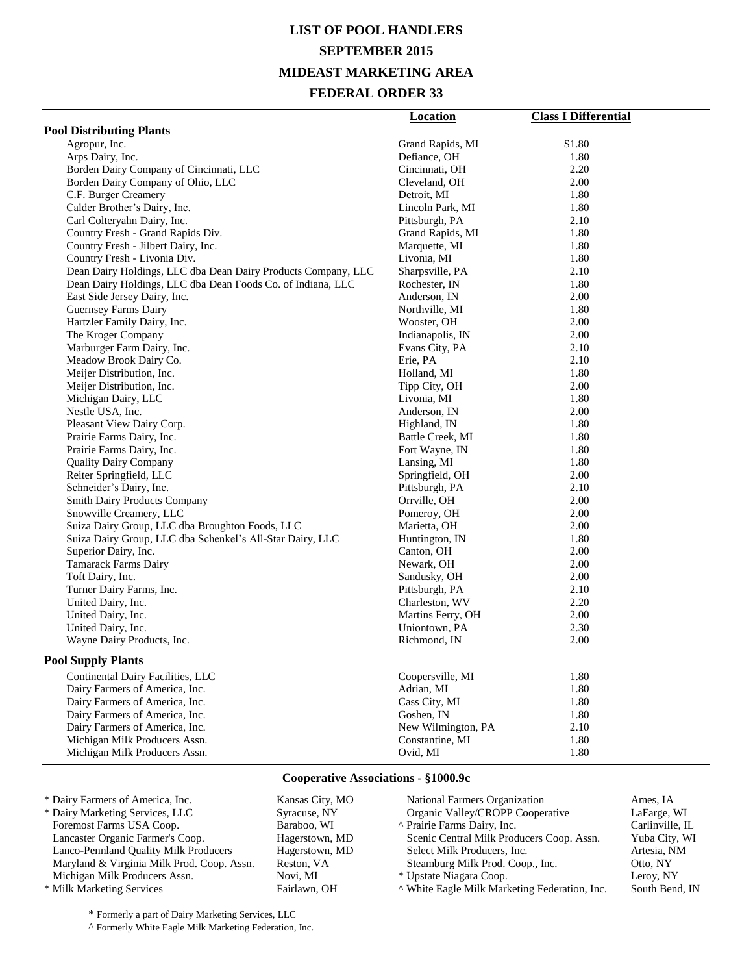# **LIST OF POOL HANDLERS SEPTEMBER 2015 MIDEAST MARKETING AREA**

#### **FEDERAL ORDER 33**

| <b>Pool Distributing Plants</b><br>Agropur, Inc.<br>Grand Rapids, MI<br>\$1.80<br>Arps Dairy, Inc.<br>Defiance, OH<br>1.80<br>Borden Dairy Company of Cincinnati, LLC<br>2.20<br>Cincinnati, OH<br>Borden Dairy Company of Ohio, LLC<br>Cleveland, OH<br>2.00<br>C.F. Burger Creamery<br>Detroit, MI<br>1.80<br>Calder Brother's Dairy, Inc.<br>1.80<br>Lincoln Park, MI<br>2.10<br>Carl Colteryahn Dairy, Inc.<br>Pittsburgh, PA<br>Country Fresh - Grand Rapids Div.<br>Grand Rapids, MI<br>1.80<br>Country Fresh - Jilbert Dairy, Inc.<br>1.80<br>Marquette, MI<br>Country Fresh - Livonia Div.<br>Livonia, MI<br>1.80<br>Dean Dairy Holdings, LLC dba Dean Dairy Products Company, LLC<br>Sharpsville, PA<br>2.10<br>Dean Dairy Holdings, LLC dba Dean Foods Co. of Indiana, LLC<br>1.80<br>Rochester, IN<br>East Side Jersey Dairy, Inc.<br>2.00<br>Anderson, IN<br>Guernsey Farms Dairy<br>1.80<br>Northville, MI<br>Hartzler Family Dairy, Inc.<br>2.00<br>Wooster, OH<br>The Kroger Company<br>Indianapolis, IN<br>2.00<br>Marburger Farm Dairy, Inc.<br>Evans City, PA<br>2.10<br>Meadow Brook Dairy Co.<br>2.10<br>Erie, PA<br>Meijer Distribution, Inc.<br>1.80<br>Holland, MI<br>Meijer Distribution, Inc.<br>2.00<br>Tipp City, OH<br>Michigan Dairy, LLC<br>Livonia, MI<br>1.80<br>Nestle USA, Inc.<br>Anderson, IN<br>2.00<br>Pleasant View Dairy Corp.<br>1.80<br>Highland, IN<br>Battle Creek, MI<br>1.80<br>Prairie Farms Dairy, Inc.<br>Prairie Farms Dairy, Inc.<br>Fort Wayne, IN<br>1.80<br>1.80<br><b>Quality Dairy Company</b><br>Lansing, MI<br>Reiter Springfield, LLC<br>Springfield, OH<br>2.00<br>Schneider's Dairy, Inc.<br>Pittsburgh, PA<br>2.10<br><b>Smith Dairy Products Company</b><br>Orrville, OH<br>2.00<br>Snowville Creamery, LLC<br>Pomeroy, OH<br>2.00<br>Suiza Dairy Group, LLC dba Broughton Foods, LLC<br>2.00<br>Marietta, OH<br>Suiza Dairy Group, LLC dba Schenkel's All-Star Dairy, LLC<br>1.80<br>Huntington, IN<br>Superior Dairy, Inc.<br>Canton, OH<br>2.00<br>Tamarack Farms Dairy<br>Newark, OH<br>2.00<br>2.00<br>Toft Dairy, Inc.<br>Sandusky, OH<br>Turner Dairy Farms, Inc.<br>Pittsburgh, PA<br>2.10<br>United Dairy, Inc.<br>Charleston, WV<br>2.20<br>United Dairy, Inc.<br>Martins Ferry, OH<br>2.00<br>United Dairy, Inc.<br>Uniontown, PA<br>2.30<br>Wayne Dairy Products, Inc.<br>Richmond, IN<br>2.00<br><b>Pool Supply Plants</b><br>Coopersville, MI<br>1.80<br>Continental Dairy Facilities, LLC<br>Dairy Farmers of America, Inc.<br>Adrian, MI<br>1.80<br>Dairy Farmers of America, Inc.<br>Cass City, MI<br>1.80<br>Dairy Farmers of America, Inc.<br>Goshen, IN<br>1.80<br>2.10<br>Dairy Farmers of America, Inc.<br>New Wilmington, PA<br>Michigan Milk Producers Assn.<br>Constantine, MI<br>1.80 |                               | <b>Location</b> | <b>Class I Differential</b> |
|--------------------------------------------------------------------------------------------------------------------------------------------------------------------------------------------------------------------------------------------------------------------------------------------------------------------------------------------------------------------------------------------------------------------------------------------------------------------------------------------------------------------------------------------------------------------------------------------------------------------------------------------------------------------------------------------------------------------------------------------------------------------------------------------------------------------------------------------------------------------------------------------------------------------------------------------------------------------------------------------------------------------------------------------------------------------------------------------------------------------------------------------------------------------------------------------------------------------------------------------------------------------------------------------------------------------------------------------------------------------------------------------------------------------------------------------------------------------------------------------------------------------------------------------------------------------------------------------------------------------------------------------------------------------------------------------------------------------------------------------------------------------------------------------------------------------------------------------------------------------------------------------------------------------------------------------------------------------------------------------------------------------------------------------------------------------------------------------------------------------------------------------------------------------------------------------------------------------------------------------------------------------------------------------------------------------------------------------------------------------------------------------------------------------------------------------------------------------------------------------------------------------------------------------------------------------------------------------------------------------------------------------------------------------------------------------------------------------------------------------------------------------------------|-------------------------------|-----------------|-----------------------------|
|                                                                                                                                                                                                                                                                                                                                                                                                                                                                                                                                                                                                                                                                                                                                                                                                                                                                                                                                                                                                                                                                                                                                                                                                                                                                                                                                                                                                                                                                                                                                                                                                                                                                                                                                                                                                                                                                                                                                                                                                                                                                                                                                                                                                                                                                                                                                                                                                                                                                                                                                                                                                                                                                                                                                                                                |                               |                 |                             |
|                                                                                                                                                                                                                                                                                                                                                                                                                                                                                                                                                                                                                                                                                                                                                                                                                                                                                                                                                                                                                                                                                                                                                                                                                                                                                                                                                                                                                                                                                                                                                                                                                                                                                                                                                                                                                                                                                                                                                                                                                                                                                                                                                                                                                                                                                                                                                                                                                                                                                                                                                                                                                                                                                                                                                                                |                               |                 |                             |
|                                                                                                                                                                                                                                                                                                                                                                                                                                                                                                                                                                                                                                                                                                                                                                                                                                                                                                                                                                                                                                                                                                                                                                                                                                                                                                                                                                                                                                                                                                                                                                                                                                                                                                                                                                                                                                                                                                                                                                                                                                                                                                                                                                                                                                                                                                                                                                                                                                                                                                                                                                                                                                                                                                                                                                                |                               |                 |                             |
|                                                                                                                                                                                                                                                                                                                                                                                                                                                                                                                                                                                                                                                                                                                                                                                                                                                                                                                                                                                                                                                                                                                                                                                                                                                                                                                                                                                                                                                                                                                                                                                                                                                                                                                                                                                                                                                                                                                                                                                                                                                                                                                                                                                                                                                                                                                                                                                                                                                                                                                                                                                                                                                                                                                                                                                |                               |                 |                             |
|                                                                                                                                                                                                                                                                                                                                                                                                                                                                                                                                                                                                                                                                                                                                                                                                                                                                                                                                                                                                                                                                                                                                                                                                                                                                                                                                                                                                                                                                                                                                                                                                                                                                                                                                                                                                                                                                                                                                                                                                                                                                                                                                                                                                                                                                                                                                                                                                                                                                                                                                                                                                                                                                                                                                                                                |                               |                 |                             |
|                                                                                                                                                                                                                                                                                                                                                                                                                                                                                                                                                                                                                                                                                                                                                                                                                                                                                                                                                                                                                                                                                                                                                                                                                                                                                                                                                                                                                                                                                                                                                                                                                                                                                                                                                                                                                                                                                                                                                                                                                                                                                                                                                                                                                                                                                                                                                                                                                                                                                                                                                                                                                                                                                                                                                                                |                               |                 |                             |
|                                                                                                                                                                                                                                                                                                                                                                                                                                                                                                                                                                                                                                                                                                                                                                                                                                                                                                                                                                                                                                                                                                                                                                                                                                                                                                                                                                                                                                                                                                                                                                                                                                                                                                                                                                                                                                                                                                                                                                                                                                                                                                                                                                                                                                                                                                                                                                                                                                                                                                                                                                                                                                                                                                                                                                                |                               |                 |                             |
|                                                                                                                                                                                                                                                                                                                                                                                                                                                                                                                                                                                                                                                                                                                                                                                                                                                                                                                                                                                                                                                                                                                                                                                                                                                                                                                                                                                                                                                                                                                                                                                                                                                                                                                                                                                                                                                                                                                                                                                                                                                                                                                                                                                                                                                                                                                                                                                                                                                                                                                                                                                                                                                                                                                                                                                |                               |                 |                             |
|                                                                                                                                                                                                                                                                                                                                                                                                                                                                                                                                                                                                                                                                                                                                                                                                                                                                                                                                                                                                                                                                                                                                                                                                                                                                                                                                                                                                                                                                                                                                                                                                                                                                                                                                                                                                                                                                                                                                                                                                                                                                                                                                                                                                                                                                                                                                                                                                                                                                                                                                                                                                                                                                                                                                                                                |                               |                 |                             |
|                                                                                                                                                                                                                                                                                                                                                                                                                                                                                                                                                                                                                                                                                                                                                                                                                                                                                                                                                                                                                                                                                                                                                                                                                                                                                                                                                                                                                                                                                                                                                                                                                                                                                                                                                                                                                                                                                                                                                                                                                                                                                                                                                                                                                                                                                                                                                                                                                                                                                                                                                                                                                                                                                                                                                                                |                               |                 |                             |
|                                                                                                                                                                                                                                                                                                                                                                                                                                                                                                                                                                                                                                                                                                                                                                                                                                                                                                                                                                                                                                                                                                                                                                                                                                                                                                                                                                                                                                                                                                                                                                                                                                                                                                                                                                                                                                                                                                                                                                                                                                                                                                                                                                                                                                                                                                                                                                                                                                                                                                                                                                                                                                                                                                                                                                                |                               |                 |                             |
|                                                                                                                                                                                                                                                                                                                                                                                                                                                                                                                                                                                                                                                                                                                                                                                                                                                                                                                                                                                                                                                                                                                                                                                                                                                                                                                                                                                                                                                                                                                                                                                                                                                                                                                                                                                                                                                                                                                                                                                                                                                                                                                                                                                                                                                                                                                                                                                                                                                                                                                                                                                                                                                                                                                                                                                |                               |                 |                             |
|                                                                                                                                                                                                                                                                                                                                                                                                                                                                                                                                                                                                                                                                                                                                                                                                                                                                                                                                                                                                                                                                                                                                                                                                                                                                                                                                                                                                                                                                                                                                                                                                                                                                                                                                                                                                                                                                                                                                                                                                                                                                                                                                                                                                                                                                                                                                                                                                                                                                                                                                                                                                                                                                                                                                                                                |                               |                 |                             |
|                                                                                                                                                                                                                                                                                                                                                                                                                                                                                                                                                                                                                                                                                                                                                                                                                                                                                                                                                                                                                                                                                                                                                                                                                                                                                                                                                                                                                                                                                                                                                                                                                                                                                                                                                                                                                                                                                                                                                                                                                                                                                                                                                                                                                                                                                                                                                                                                                                                                                                                                                                                                                                                                                                                                                                                |                               |                 |                             |
|                                                                                                                                                                                                                                                                                                                                                                                                                                                                                                                                                                                                                                                                                                                                                                                                                                                                                                                                                                                                                                                                                                                                                                                                                                                                                                                                                                                                                                                                                                                                                                                                                                                                                                                                                                                                                                                                                                                                                                                                                                                                                                                                                                                                                                                                                                                                                                                                                                                                                                                                                                                                                                                                                                                                                                                |                               |                 |                             |
|                                                                                                                                                                                                                                                                                                                                                                                                                                                                                                                                                                                                                                                                                                                                                                                                                                                                                                                                                                                                                                                                                                                                                                                                                                                                                                                                                                                                                                                                                                                                                                                                                                                                                                                                                                                                                                                                                                                                                                                                                                                                                                                                                                                                                                                                                                                                                                                                                                                                                                                                                                                                                                                                                                                                                                                |                               |                 |                             |
|                                                                                                                                                                                                                                                                                                                                                                                                                                                                                                                                                                                                                                                                                                                                                                                                                                                                                                                                                                                                                                                                                                                                                                                                                                                                                                                                                                                                                                                                                                                                                                                                                                                                                                                                                                                                                                                                                                                                                                                                                                                                                                                                                                                                                                                                                                                                                                                                                                                                                                                                                                                                                                                                                                                                                                                |                               |                 |                             |
|                                                                                                                                                                                                                                                                                                                                                                                                                                                                                                                                                                                                                                                                                                                                                                                                                                                                                                                                                                                                                                                                                                                                                                                                                                                                                                                                                                                                                                                                                                                                                                                                                                                                                                                                                                                                                                                                                                                                                                                                                                                                                                                                                                                                                                                                                                                                                                                                                                                                                                                                                                                                                                                                                                                                                                                |                               |                 |                             |
|                                                                                                                                                                                                                                                                                                                                                                                                                                                                                                                                                                                                                                                                                                                                                                                                                                                                                                                                                                                                                                                                                                                                                                                                                                                                                                                                                                                                                                                                                                                                                                                                                                                                                                                                                                                                                                                                                                                                                                                                                                                                                                                                                                                                                                                                                                                                                                                                                                                                                                                                                                                                                                                                                                                                                                                |                               |                 |                             |
|                                                                                                                                                                                                                                                                                                                                                                                                                                                                                                                                                                                                                                                                                                                                                                                                                                                                                                                                                                                                                                                                                                                                                                                                                                                                                                                                                                                                                                                                                                                                                                                                                                                                                                                                                                                                                                                                                                                                                                                                                                                                                                                                                                                                                                                                                                                                                                                                                                                                                                                                                                                                                                                                                                                                                                                |                               |                 |                             |
|                                                                                                                                                                                                                                                                                                                                                                                                                                                                                                                                                                                                                                                                                                                                                                                                                                                                                                                                                                                                                                                                                                                                                                                                                                                                                                                                                                                                                                                                                                                                                                                                                                                                                                                                                                                                                                                                                                                                                                                                                                                                                                                                                                                                                                                                                                                                                                                                                                                                                                                                                                                                                                                                                                                                                                                |                               |                 |                             |
|                                                                                                                                                                                                                                                                                                                                                                                                                                                                                                                                                                                                                                                                                                                                                                                                                                                                                                                                                                                                                                                                                                                                                                                                                                                                                                                                                                                                                                                                                                                                                                                                                                                                                                                                                                                                                                                                                                                                                                                                                                                                                                                                                                                                                                                                                                                                                                                                                                                                                                                                                                                                                                                                                                                                                                                |                               |                 |                             |
|                                                                                                                                                                                                                                                                                                                                                                                                                                                                                                                                                                                                                                                                                                                                                                                                                                                                                                                                                                                                                                                                                                                                                                                                                                                                                                                                                                                                                                                                                                                                                                                                                                                                                                                                                                                                                                                                                                                                                                                                                                                                                                                                                                                                                                                                                                                                                                                                                                                                                                                                                                                                                                                                                                                                                                                |                               |                 |                             |
|                                                                                                                                                                                                                                                                                                                                                                                                                                                                                                                                                                                                                                                                                                                                                                                                                                                                                                                                                                                                                                                                                                                                                                                                                                                                                                                                                                                                                                                                                                                                                                                                                                                                                                                                                                                                                                                                                                                                                                                                                                                                                                                                                                                                                                                                                                                                                                                                                                                                                                                                                                                                                                                                                                                                                                                |                               |                 |                             |
|                                                                                                                                                                                                                                                                                                                                                                                                                                                                                                                                                                                                                                                                                                                                                                                                                                                                                                                                                                                                                                                                                                                                                                                                                                                                                                                                                                                                                                                                                                                                                                                                                                                                                                                                                                                                                                                                                                                                                                                                                                                                                                                                                                                                                                                                                                                                                                                                                                                                                                                                                                                                                                                                                                                                                                                |                               |                 |                             |
|                                                                                                                                                                                                                                                                                                                                                                                                                                                                                                                                                                                                                                                                                                                                                                                                                                                                                                                                                                                                                                                                                                                                                                                                                                                                                                                                                                                                                                                                                                                                                                                                                                                                                                                                                                                                                                                                                                                                                                                                                                                                                                                                                                                                                                                                                                                                                                                                                                                                                                                                                                                                                                                                                                                                                                                |                               |                 |                             |
|                                                                                                                                                                                                                                                                                                                                                                                                                                                                                                                                                                                                                                                                                                                                                                                                                                                                                                                                                                                                                                                                                                                                                                                                                                                                                                                                                                                                                                                                                                                                                                                                                                                                                                                                                                                                                                                                                                                                                                                                                                                                                                                                                                                                                                                                                                                                                                                                                                                                                                                                                                                                                                                                                                                                                                                |                               |                 |                             |
|                                                                                                                                                                                                                                                                                                                                                                                                                                                                                                                                                                                                                                                                                                                                                                                                                                                                                                                                                                                                                                                                                                                                                                                                                                                                                                                                                                                                                                                                                                                                                                                                                                                                                                                                                                                                                                                                                                                                                                                                                                                                                                                                                                                                                                                                                                                                                                                                                                                                                                                                                                                                                                                                                                                                                                                |                               |                 |                             |
|                                                                                                                                                                                                                                                                                                                                                                                                                                                                                                                                                                                                                                                                                                                                                                                                                                                                                                                                                                                                                                                                                                                                                                                                                                                                                                                                                                                                                                                                                                                                                                                                                                                                                                                                                                                                                                                                                                                                                                                                                                                                                                                                                                                                                                                                                                                                                                                                                                                                                                                                                                                                                                                                                                                                                                                |                               |                 |                             |
|                                                                                                                                                                                                                                                                                                                                                                                                                                                                                                                                                                                                                                                                                                                                                                                                                                                                                                                                                                                                                                                                                                                                                                                                                                                                                                                                                                                                                                                                                                                                                                                                                                                                                                                                                                                                                                                                                                                                                                                                                                                                                                                                                                                                                                                                                                                                                                                                                                                                                                                                                                                                                                                                                                                                                                                |                               |                 |                             |
|                                                                                                                                                                                                                                                                                                                                                                                                                                                                                                                                                                                                                                                                                                                                                                                                                                                                                                                                                                                                                                                                                                                                                                                                                                                                                                                                                                                                                                                                                                                                                                                                                                                                                                                                                                                                                                                                                                                                                                                                                                                                                                                                                                                                                                                                                                                                                                                                                                                                                                                                                                                                                                                                                                                                                                                |                               |                 |                             |
|                                                                                                                                                                                                                                                                                                                                                                                                                                                                                                                                                                                                                                                                                                                                                                                                                                                                                                                                                                                                                                                                                                                                                                                                                                                                                                                                                                                                                                                                                                                                                                                                                                                                                                                                                                                                                                                                                                                                                                                                                                                                                                                                                                                                                                                                                                                                                                                                                                                                                                                                                                                                                                                                                                                                                                                |                               |                 |                             |
|                                                                                                                                                                                                                                                                                                                                                                                                                                                                                                                                                                                                                                                                                                                                                                                                                                                                                                                                                                                                                                                                                                                                                                                                                                                                                                                                                                                                                                                                                                                                                                                                                                                                                                                                                                                                                                                                                                                                                                                                                                                                                                                                                                                                                                                                                                                                                                                                                                                                                                                                                                                                                                                                                                                                                                                |                               |                 |                             |
|                                                                                                                                                                                                                                                                                                                                                                                                                                                                                                                                                                                                                                                                                                                                                                                                                                                                                                                                                                                                                                                                                                                                                                                                                                                                                                                                                                                                                                                                                                                                                                                                                                                                                                                                                                                                                                                                                                                                                                                                                                                                                                                                                                                                                                                                                                                                                                                                                                                                                                                                                                                                                                                                                                                                                                                |                               |                 |                             |
|                                                                                                                                                                                                                                                                                                                                                                                                                                                                                                                                                                                                                                                                                                                                                                                                                                                                                                                                                                                                                                                                                                                                                                                                                                                                                                                                                                                                                                                                                                                                                                                                                                                                                                                                                                                                                                                                                                                                                                                                                                                                                                                                                                                                                                                                                                                                                                                                                                                                                                                                                                                                                                                                                                                                                                                |                               |                 |                             |
|                                                                                                                                                                                                                                                                                                                                                                                                                                                                                                                                                                                                                                                                                                                                                                                                                                                                                                                                                                                                                                                                                                                                                                                                                                                                                                                                                                                                                                                                                                                                                                                                                                                                                                                                                                                                                                                                                                                                                                                                                                                                                                                                                                                                                                                                                                                                                                                                                                                                                                                                                                                                                                                                                                                                                                                |                               |                 |                             |
|                                                                                                                                                                                                                                                                                                                                                                                                                                                                                                                                                                                                                                                                                                                                                                                                                                                                                                                                                                                                                                                                                                                                                                                                                                                                                                                                                                                                                                                                                                                                                                                                                                                                                                                                                                                                                                                                                                                                                                                                                                                                                                                                                                                                                                                                                                                                                                                                                                                                                                                                                                                                                                                                                                                                                                                |                               |                 |                             |
|                                                                                                                                                                                                                                                                                                                                                                                                                                                                                                                                                                                                                                                                                                                                                                                                                                                                                                                                                                                                                                                                                                                                                                                                                                                                                                                                                                                                                                                                                                                                                                                                                                                                                                                                                                                                                                                                                                                                                                                                                                                                                                                                                                                                                                                                                                                                                                                                                                                                                                                                                                                                                                                                                                                                                                                |                               |                 |                             |
|                                                                                                                                                                                                                                                                                                                                                                                                                                                                                                                                                                                                                                                                                                                                                                                                                                                                                                                                                                                                                                                                                                                                                                                                                                                                                                                                                                                                                                                                                                                                                                                                                                                                                                                                                                                                                                                                                                                                                                                                                                                                                                                                                                                                                                                                                                                                                                                                                                                                                                                                                                                                                                                                                                                                                                                |                               |                 |                             |
|                                                                                                                                                                                                                                                                                                                                                                                                                                                                                                                                                                                                                                                                                                                                                                                                                                                                                                                                                                                                                                                                                                                                                                                                                                                                                                                                                                                                                                                                                                                                                                                                                                                                                                                                                                                                                                                                                                                                                                                                                                                                                                                                                                                                                                                                                                                                                                                                                                                                                                                                                                                                                                                                                                                                                                                |                               |                 |                             |
|                                                                                                                                                                                                                                                                                                                                                                                                                                                                                                                                                                                                                                                                                                                                                                                                                                                                                                                                                                                                                                                                                                                                                                                                                                                                                                                                                                                                                                                                                                                                                                                                                                                                                                                                                                                                                                                                                                                                                                                                                                                                                                                                                                                                                                                                                                                                                                                                                                                                                                                                                                                                                                                                                                                                                                                |                               |                 |                             |
|                                                                                                                                                                                                                                                                                                                                                                                                                                                                                                                                                                                                                                                                                                                                                                                                                                                                                                                                                                                                                                                                                                                                                                                                                                                                                                                                                                                                                                                                                                                                                                                                                                                                                                                                                                                                                                                                                                                                                                                                                                                                                                                                                                                                                                                                                                                                                                                                                                                                                                                                                                                                                                                                                                                                                                                |                               |                 |                             |
|                                                                                                                                                                                                                                                                                                                                                                                                                                                                                                                                                                                                                                                                                                                                                                                                                                                                                                                                                                                                                                                                                                                                                                                                                                                                                                                                                                                                                                                                                                                                                                                                                                                                                                                                                                                                                                                                                                                                                                                                                                                                                                                                                                                                                                                                                                                                                                                                                                                                                                                                                                                                                                                                                                                                                                                |                               |                 |                             |
|                                                                                                                                                                                                                                                                                                                                                                                                                                                                                                                                                                                                                                                                                                                                                                                                                                                                                                                                                                                                                                                                                                                                                                                                                                                                                                                                                                                                                                                                                                                                                                                                                                                                                                                                                                                                                                                                                                                                                                                                                                                                                                                                                                                                                                                                                                                                                                                                                                                                                                                                                                                                                                                                                                                                                                                |                               |                 |                             |
|                                                                                                                                                                                                                                                                                                                                                                                                                                                                                                                                                                                                                                                                                                                                                                                                                                                                                                                                                                                                                                                                                                                                                                                                                                                                                                                                                                                                                                                                                                                                                                                                                                                                                                                                                                                                                                                                                                                                                                                                                                                                                                                                                                                                                                                                                                                                                                                                                                                                                                                                                                                                                                                                                                                                                                                |                               |                 |                             |
|                                                                                                                                                                                                                                                                                                                                                                                                                                                                                                                                                                                                                                                                                                                                                                                                                                                                                                                                                                                                                                                                                                                                                                                                                                                                                                                                                                                                                                                                                                                                                                                                                                                                                                                                                                                                                                                                                                                                                                                                                                                                                                                                                                                                                                                                                                                                                                                                                                                                                                                                                                                                                                                                                                                                                                                |                               |                 |                             |
|                                                                                                                                                                                                                                                                                                                                                                                                                                                                                                                                                                                                                                                                                                                                                                                                                                                                                                                                                                                                                                                                                                                                                                                                                                                                                                                                                                                                                                                                                                                                                                                                                                                                                                                                                                                                                                                                                                                                                                                                                                                                                                                                                                                                                                                                                                                                                                                                                                                                                                                                                                                                                                                                                                                                                                                |                               |                 |                             |
|                                                                                                                                                                                                                                                                                                                                                                                                                                                                                                                                                                                                                                                                                                                                                                                                                                                                                                                                                                                                                                                                                                                                                                                                                                                                                                                                                                                                                                                                                                                                                                                                                                                                                                                                                                                                                                                                                                                                                                                                                                                                                                                                                                                                                                                                                                                                                                                                                                                                                                                                                                                                                                                                                                                                                                                |                               |                 |                             |
|                                                                                                                                                                                                                                                                                                                                                                                                                                                                                                                                                                                                                                                                                                                                                                                                                                                                                                                                                                                                                                                                                                                                                                                                                                                                                                                                                                                                                                                                                                                                                                                                                                                                                                                                                                                                                                                                                                                                                                                                                                                                                                                                                                                                                                                                                                                                                                                                                                                                                                                                                                                                                                                                                                                                                                                | Michigan Milk Producers Assn. | Ovid, MI        | 1.80                        |

#### **Cooperative Associations - §1000.9c**

| Kansas City, MO | National Farmers Organization                 | Ames. IA        |
|-----------------|-----------------------------------------------|-----------------|
| Syracuse, NY    | Organic Valley/CROPP Cooperative              | LaFarge, WI     |
| Baraboo, WI     | A Prairie Farms Dairy, Inc.                   | Carlinville, IL |
| Hagerstown, MD  | Scenic Central Milk Producers Coop. Assn.     | Yuba City, WI   |
| Hagerstown, MD  | Select Milk Producers, Inc.                   | Artesia, NM     |
| Reston, VA      | Steamburg Milk Prod. Coop., Inc.              | Otto, NY        |
| Novi. MI        | * Upstate Niagara Coop.                       | Leroy, NY       |
| Fairlawn, OH    | A White Eagle Milk Marketing Federation, Inc. | South Bend, IN  |
|                 |                                               |                 |

\* Formerly a part of Dairy Marketing Services, LLC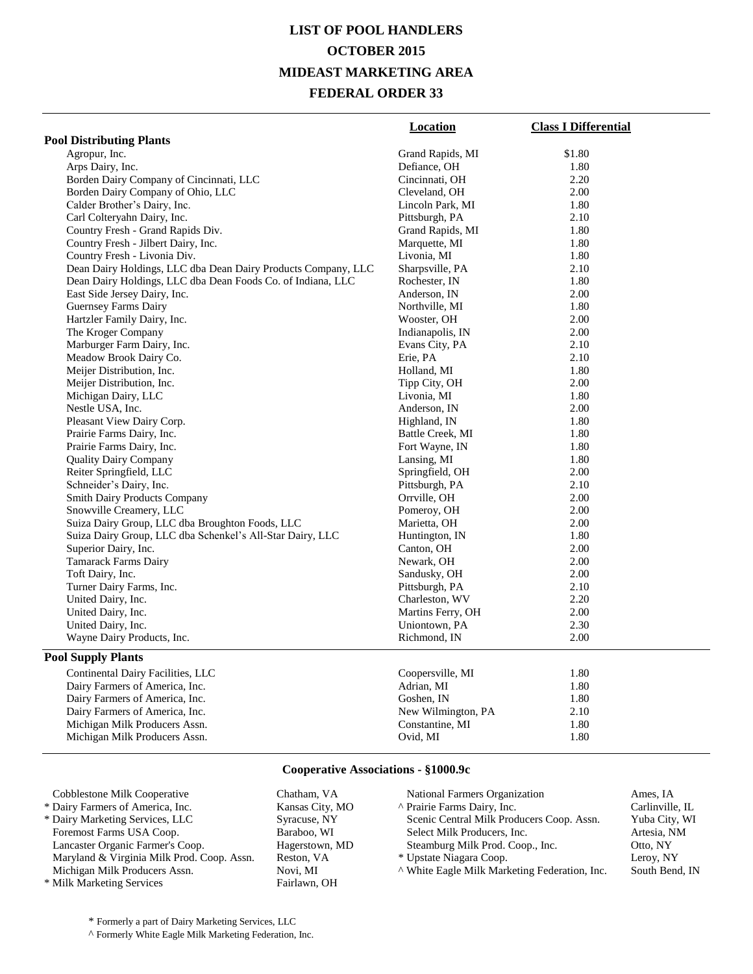# **LIST OF POOL HANDLERS OCTOBER 2015 MIDEAST MARKETING AREA FEDERAL ORDER 33**

|                                                               | Location           | <b>Class I Differential</b> |
|---------------------------------------------------------------|--------------------|-----------------------------|
| <b>Pool Distributing Plants</b>                               |                    |                             |
| Agropur, Inc.                                                 | Grand Rapids, MI   | \$1.80                      |
| Arps Dairy, Inc.                                              | Defiance, OH       | 1.80                        |
| Borden Dairy Company of Cincinnati, LLC                       | Cincinnati, OH     | 2.20                        |
| Borden Dairy Company of Ohio, LLC                             | Cleveland, OH      | 2.00                        |
| Calder Brother's Dairy, Inc.                                  | Lincoln Park, MI   | 1.80                        |
| Carl Colteryahn Dairy, Inc.                                   | Pittsburgh, PA     | 2.10                        |
| Country Fresh - Grand Rapids Div.                             | Grand Rapids, MI   | 1.80                        |
| Country Fresh - Jilbert Dairy, Inc.                           | Marquette, MI      | 1.80                        |
| Country Fresh - Livonia Div.                                  | Livonia, MI        | 1.80                        |
| Dean Dairy Holdings, LLC dba Dean Dairy Products Company, LLC | Sharpsville, PA    | 2.10                        |
| Dean Dairy Holdings, LLC dba Dean Foods Co. of Indiana, LLC   | Rochester, IN      | 1.80                        |
| East Side Jersey Dairy, Inc.                                  | Anderson, IN       | 2.00                        |
| <b>Guernsey Farms Dairy</b>                                   | Northville, MI     | 1.80                        |
| Hartzler Family Dairy, Inc.                                   | Wooster, OH        | 2.00                        |
| The Kroger Company                                            | Indianapolis, IN   | 2.00                        |
| Marburger Farm Dairy, Inc.                                    | Evans City, PA     | 2.10                        |
| Meadow Brook Dairy Co.                                        | Erie, PA           | 2.10                        |
| Meijer Distribution, Inc.                                     | Holland, MI        | 1.80                        |
| Meijer Distribution, Inc.                                     | Tipp City, OH      | 2.00                        |
| Michigan Dairy, LLC                                           | Livonia, MI        | 1.80                        |
| Nestle USA, Inc.                                              | Anderson, IN       | 2.00                        |
| Pleasant View Dairy Corp.                                     | Highland, IN       | 1.80                        |
| Prairie Farms Dairy, Inc.                                     | Battle Creek, MI   | 1.80                        |
| Prairie Farms Dairy, Inc.                                     | Fort Wayne, IN     | 1.80                        |
| <b>Quality Dairy Company</b>                                  | Lansing, MI        | 1.80                        |
| Reiter Springfield, LLC                                       | Springfield, OH    | 2.00                        |
| Schneider's Dairy, Inc.                                       | Pittsburgh, PA     | 2.10                        |
| <b>Smith Dairy Products Company</b>                           | Orrville, OH       | 2.00                        |
| Snowville Creamery, LLC                                       | Pomeroy, OH        | 2.00                        |
| Suiza Dairy Group, LLC dba Broughton Foods, LLC               | Marietta, OH       | 2.00                        |
| Suiza Dairy Group, LLC dba Schenkel's All-Star Dairy, LLC     | Huntington, IN     | 1.80                        |
| Superior Dairy, Inc.                                          | Canton, OH         | 2.00                        |
| Tamarack Farms Dairy                                          | Newark, OH         | 2.00                        |
| Toft Dairy, Inc.                                              | Sandusky, OH       | 2.00                        |
| Turner Dairy Farms, Inc.                                      | Pittsburgh, PA     | 2.10                        |
| United Dairy, Inc.                                            | Charleston, WV     | 2.20                        |
| United Dairy, Inc.                                            | Martins Ferry, OH  | 2.00                        |
| United Dairy, Inc.                                            | Uniontown, PA      | 2.30                        |
| Wayne Dairy Products, Inc.                                    | Richmond, IN       | 2.00                        |
| <b>Pool Supply Plants</b>                                     |                    |                             |
| Continental Dairy Facilities, LLC                             | Coopersville, MI   | 1.80                        |
| Dairy Farmers of America, Inc.                                | Adrian, MI         | 1.80                        |
| Dairy Farmers of America, Inc.                                | Goshen, IN         | 1.80                        |
| Dairy Farmers of America, Inc.                                | New Wilmington, PA | 2.10                        |
| Michigan Milk Producers Assn.                                 | Constantine, MI    | 1.80                        |
| Michigan Milk Producers Assn.                                 | Ovid, MI           | 1.80                        |
|                                                               |                    |                             |

#### **Cooperative Associations - §1000.9c**

| Cobblestone Milk Cooperative               | Chatham, VA     | National Farmers Organization               |
|--------------------------------------------|-----------------|---------------------------------------------|
| * Dairy Farmers of America, Inc.           | Kansas City, MO | A Prairie Farms Dairy, Inc.                 |
| * Dairy Marketing Services, LLC            | Syracuse, NY    | Scenic Central Milk Producers Coop. Assn.   |
| Foremost Farms USA Coop.                   | Baraboo, WI     | Select Milk Producers, Inc.                 |
| Lancaster Organic Farmer's Coop.           | Hagerstown, MD  | Steamburg Milk Prod. Coop., Inc.            |
| Maryland & Virginia Milk Prod. Coop. Assn. | Reston, VA      | * Upstate Niagara Coop.                     |
| Michigan Milk Producers Assn.              | Novi, MI        | A White Eagle Milk Marketing Federation, In |
| * Milk Marketing Services                  | Fairlawn, OH    |                                             |
|                                            |                 |                                             |

Ames, IA Carlinville, IL Yuba City, WI Artesia, NM Otto, NY Leroy, NY  $\text{Ric.}$  South Bend, IN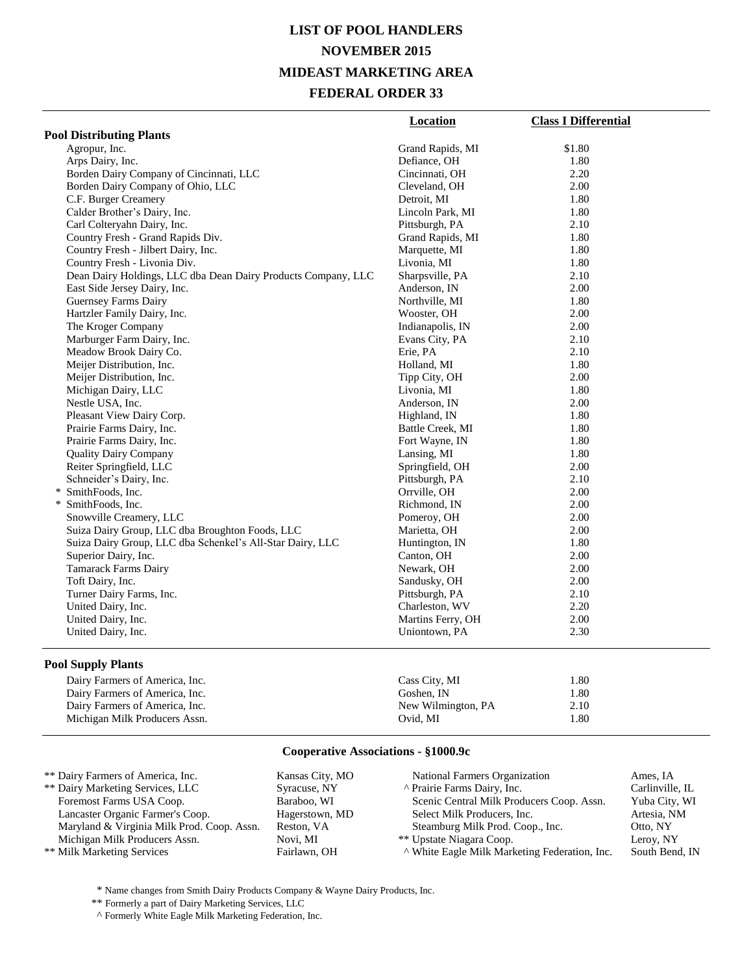### **LIST OF POOL HANDLERS NOVEMBER 2015 MIDEAST MARKETING AREA FEDERAL ORDER 33**

|                                                               | <b>Location</b>   | <b>Class I Differential</b> |
|---------------------------------------------------------------|-------------------|-----------------------------|
| <b>Pool Distributing Plants</b>                               |                   |                             |
| Agropur, Inc.                                                 | Grand Rapids, MI  | \$1.80                      |
| Arps Dairy, Inc.                                              | Defiance, OH      | 1.80                        |
| Borden Dairy Company of Cincinnati, LLC                       | Cincinnati, OH    | 2.20                        |
| Borden Dairy Company of Ohio, LLC                             | Cleveland, OH     | 2.00                        |
| C.F. Burger Creamery                                          | Detroit, MI       | 1.80                        |
| Calder Brother's Dairy, Inc.                                  | Lincoln Park, MI  | 1.80                        |
| Carl Colteryahn Dairy, Inc.                                   | Pittsburgh, PA    | 2.10                        |
| Country Fresh - Grand Rapids Div.                             | Grand Rapids, MI  | 1.80                        |
| Country Fresh - Jilbert Dairy, Inc.                           | Marquette, MI     | 1.80                        |
| Country Fresh - Livonia Div.                                  | Livonia, MI       | 1.80                        |
| Dean Dairy Holdings, LLC dba Dean Dairy Products Company, LLC | Sharpsville, PA   | 2.10                        |
| East Side Jersey Dairy, Inc.                                  | Anderson, IN      | 2.00                        |
| Guernsey Farms Dairy                                          | Northville, MI    | 1.80                        |
| Hartzler Family Dairy, Inc.                                   | Wooster, OH       | 2.00                        |
| The Kroger Company                                            | Indianapolis, IN  | 2.00                        |
| Marburger Farm Dairy, Inc.                                    | Evans City, PA    | 2.10                        |
| Meadow Brook Dairy Co.                                        | Erie, PA          | 2.10                        |
| Meijer Distribution, Inc.                                     | Holland, MI       | 1.80                        |
| Meijer Distribution, Inc.                                     | Tipp City, OH     | 2.00                        |
| Michigan Dairy, LLC                                           | Livonia, MI       | 1.80                        |
| Nestle USA, Inc.                                              | Anderson, IN      | 2.00                        |
| Pleasant View Dairy Corp.                                     | Highland, IN      | 1.80                        |
| Prairie Farms Dairy, Inc.                                     | Battle Creek, MI  | 1.80                        |
| Prairie Farms Dairy, Inc.                                     | Fort Wayne, IN    | 1.80                        |
| <b>Quality Dairy Company</b>                                  | Lansing, MI       | 1.80                        |
| Reiter Springfield, LLC                                       | Springfield, OH   | 2.00                        |
| Schneider's Dairy, Inc.                                       | Pittsburgh, PA    | 2.10                        |
| * SmithFoods, Inc.                                            | Orrville, OH      | 2.00                        |
| * SmithFoods, Inc.                                            | Richmond, IN      | 2.00                        |
| Snowville Creamery, LLC                                       | Pomeroy, OH       | 2.00                        |
| Suiza Dairy Group, LLC dba Broughton Foods, LLC               | Marietta, OH      | 2.00                        |
| Suiza Dairy Group, LLC dba Schenkel's All-Star Dairy, LLC     | Huntington, IN    | 1.80                        |
| Superior Dairy, Inc.                                          | Canton, OH        | 2.00                        |
| <b>Tamarack Farms Dairy</b>                                   | Newark, OH        | 2.00                        |
| Toft Dairy, Inc.                                              | Sandusky, OH      | 2.00                        |
| Turner Dairy Farms, Inc.                                      | Pittsburgh, PA    | 2.10                        |
| United Dairy, Inc.                                            | Charleston, WV    | 2.20                        |
| United Dairy, Inc.                                            | Martins Ferry, OH | 2.00                        |
| United Dairy, Inc.                                            | Uniontown, PA     | 2.30                        |

#### **Pool Supply Plants**

| Dairy Farmers of America, Inc. | Cass City, MI      | 1.80 |  |
|--------------------------------|--------------------|------|--|
| Dairy Farmers of America, Inc. | Goshen. IN         | 1.80 |  |
| Dairy Farmers of America, Inc. | New Wilmington, PA | 2.10 |  |
| Michigan Milk Producers Assn.  | Ovid. MI           | 1.80 |  |
|                                |                    |      |  |

#### **Cooperative Associations - §1000.9c**

| ** Dairy Farmers of America, Inc.          | Kansas City, MO | <b>National Farmers Organization</b>          | Ames, IA        |
|--------------------------------------------|-----------------|-----------------------------------------------|-----------------|
| ** Dairy Marketing Services, LLC           | Syracuse, NY    | A Prairie Farms Dairy, Inc.                   | Carlinville, IL |
| Foremost Farms USA Coop.                   | Baraboo, WI     | Scenic Central Milk Producers Coop. Assn.     | Yuba City, WI   |
| Lancaster Organic Farmer's Coop.           | Hagerstown, MD  | Select Milk Producers, Inc.                   | Artesia, NM     |
| Maryland & Virginia Milk Prod. Coop. Assn. | Reston, VA      | Steamburg Milk Prod. Coop., Inc.              | Otto, NY        |
| Michigan Milk Producers Assn.              | Novi, MI        | ** Upstate Niagara Coop.                      | Leroy, NY       |
| ** Milk Marketing Services                 | Fairlawn, OH    | A White Eagle Milk Marketing Federation, Inc. | South Bend, IN  |

 $^\ast$  Name changes from Smith Dairy Products Company & Wayne Dairy Products, Inc.

\*\* Formerly a part of Dairy Marketing Services, LLC